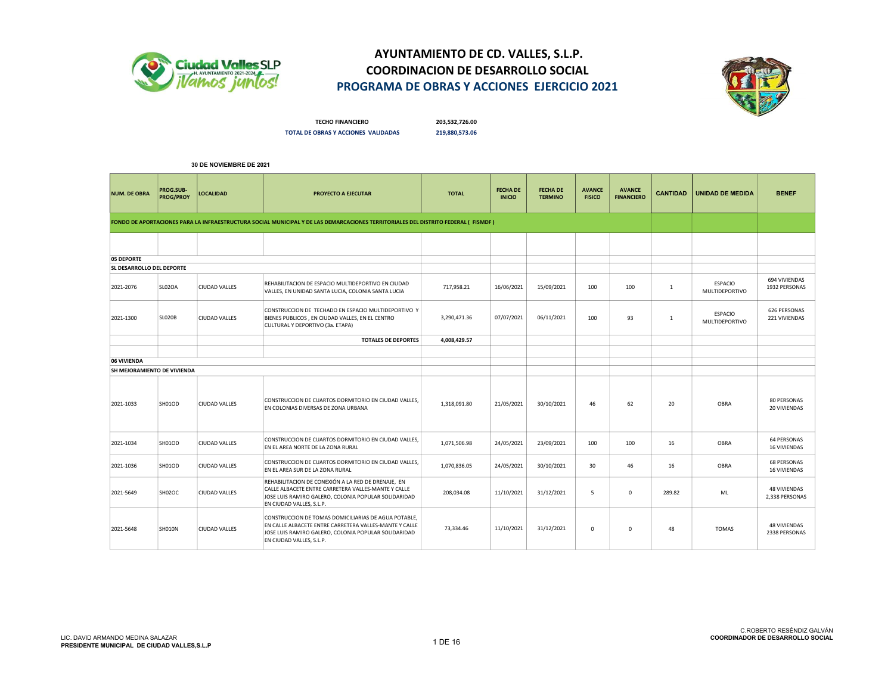



TECHO FINANCIERO 203,532,726.00 TOTAL DE OBRAS Y ACCIONES VALIDADAS 219,880,573.06

| <b>NUM. DE OBRA</b>         | PROG.SUB-<br><b>PROG/PROY</b> | <b>LOCALIDAD</b>     | PROYECTO A EJECUTAR                                                                                                                                                                                | <b>TOTAL</b> | <b>FECHA DE</b><br><b>INICIO</b> | <b>FECHA DE</b><br><b>TERMINO</b> | <b>AVANCE</b><br><b>FISICO</b> | <b>AVANCE</b><br><b>FINANCIERO</b> | <b>CANTIDAD</b> | <b>UNIDAD DE MEDIDA</b>          | <b>BENEF</b>                              |
|-----------------------------|-------------------------------|----------------------|----------------------------------------------------------------------------------------------------------------------------------------------------------------------------------------------------|--------------|----------------------------------|-----------------------------------|--------------------------------|------------------------------------|-----------------|----------------------------------|-------------------------------------------|
|                             |                               |                      | FONDO DE APORTACIONES PARA LA INFRAESTRUCTURA SOCIAL MUNICIPAL Y DE LAS DEMARCACIONES TERRITORIALES DEL DISTRITO FEDERAL (FISMDF)                                                                  |              |                                  |                                   |                                |                                    |                 |                                  |                                           |
|                             |                               |                      |                                                                                                                                                                                                    |              |                                  |                                   |                                |                                    |                 |                                  |                                           |
| 05 DEPORTE                  |                               |                      |                                                                                                                                                                                                    |              |                                  |                                   |                                |                                    |                 |                                  |                                           |
| SL DESARROLLO DEL DEPORTE   |                               |                      |                                                                                                                                                                                                    |              |                                  |                                   |                                |                                    |                 |                                  |                                           |
| 2021-2076                   | SL02OA                        | <b>CIUDAD VALLES</b> | REHABILITACION DE ESPACIO MULTIDEPORTIVO EN CIUDAD<br>VALLES, EN UNIDAD SANTA LUCIA, COLONIA SANTA LUCIA                                                                                           | 717,958.21   | 16/06/2021                       | 15/09/2021                        | 100                            | 100                                | $\mathbf{1}$    | <b>ESPACIO</b><br>MULTIDEPORTIVO | 694 VIVIENDAS<br>1932 PERSONAS            |
| 2021-1300                   | <b>SLO2OB</b>                 | <b>CIUDAD VALLES</b> | CONSTRUCCION DE TECHADO EN ESPACIO MULTIDEPORTIVO Y<br>BIENES PUBLICOS, EN CIUDAD VALLES, EN EL CENTRO<br>CULTURAL Y DEPORTIVO (3a. ETAPA)                                                         | 3,290,471.36 | 07/07/2021                       | 06/11/2021                        | 100                            | 93                                 | $\mathbf{1}$    | ESPACIO<br>MULTIDEPORTIVO        | 626 PERSONAS<br>221 VIVIENDAS             |
|                             |                               |                      | <b>TOTALES DE DEPORTES</b>                                                                                                                                                                         | 4,008,429.57 |                                  |                                   |                                |                                    |                 |                                  |                                           |
|                             |                               |                      |                                                                                                                                                                                                    |              |                                  |                                   |                                |                                    |                 |                                  |                                           |
| 06 VIVIENDA                 |                               |                      |                                                                                                                                                                                                    |              |                                  |                                   |                                |                                    |                 |                                  |                                           |
| SH MEJORAMIENTO DE VIVIENDA |                               |                      |                                                                                                                                                                                                    |              |                                  |                                   |                                |                                    |                 |                                  |                                           |
| 2021-1033                   | SH01OD                        | <b>CIUDAD VALLES</b> | CONSTRUCCION DE CUARTOS DORMITORIO EN CIUDAD VALLES,<br>EN COLONIAS DIVERSAS DE ZONA URBANA                                                                                                        | 1,318,091.80 | 21/05/2021                       | 30/10/2021                        | 46                             | 62                                 | 20              | OBRA                             | <b>80 PERSONAS</b><br>20 VIVIENDAS        |
| 2021-1034                   | SH01OD                        | <b>CIUDAD VALLES</b> | CONSTRUCCION DE CUARTOS DORMITORIO EN CIUDAD VALLES,<br>EN EL AREA NORTE DE LA ZONA RURAL                                                                                                          | 1,071,506.98 | 24/05/2021                       | 23/09/2021                        | 100                            | 100                                | 16              | OBRA                             | <b>64 PERSONAS</b><br><b>16 VIVIENDAS</b> |
| 2021-1036                   | SH01OD                        | <b>CIUDAD VALLES</b> | CONSTRUCCION DE CUARTOS DORMITORIO EN CIUDAD VALLES,<br>EN EL AREA SUR DE LA ZONA RURAL                                                                                                            | 1,070,836.05 | 24/05/2021                       | 30/10/2021                        | 30                             | 46                                 | 16              | OBRA                             | <b>68 PERSONAS</b><br><b>16 VIVIENDAS</b> |
| 2021-5649                   | SH02OC                        | <b>CIUDAD VALLES</b> | REHABILITACION DE CONEXIÓN A LA RED DE DRENAJE, EN<br>CALLE ALBACETE ENTRE CARRETERA VALLES-MANTE Y CALLE<br>JOSE LUIS RAMIRO GALERO, COLONIA POPULAR SOLIDARIDAD<br>EN CIUDAD VALLES, S.L.P.      | 208,034.08   | 11/10/2021                       | 31/12/2021                        | 5                              | $\mathsf 0$                        | 289.82          | ML                               | <b>48 VIVIENDAS</b><br>2,338 PERSONAS     |
| 2021-5648                   | <b>SH010N</b>                 | <b>CIUDAD VALLES</b> | CONSTRUCCION DE TOMAS DOMICILIARIAS DE AGUA POTABLE,<br>EN CALLE ALBACETE ENTRE CARRETERA VALLES-MANTE Y CALLE<br>JOSE LUIS RAMIRO GALERO, COLONIA POPULAR SOLIDARIDAD<br>EN CIUDAD VALLES, S.L.P. | 73,334.46    | 11/10/2021                       | 31/12/2021                        | $^{\circ}$                     | $^{\circ}$                         | 48              | <b>TOMAS</b>                     | <b>48 VIVIENDAS</b><br>2338 PERSONAS      |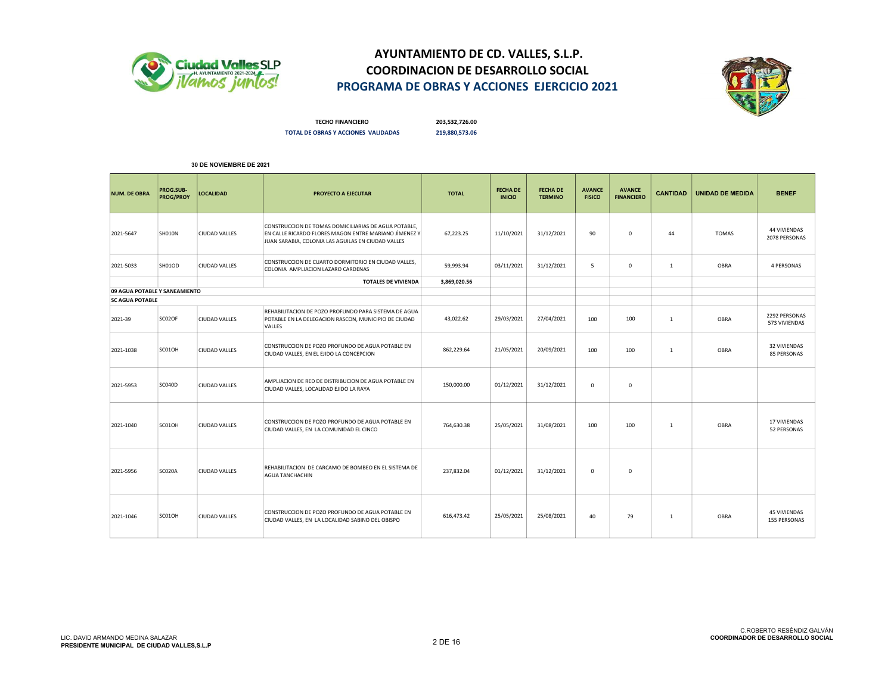



TECHO FINANCIERO 203,532,726.00 TOTAL DE OBRAS Y ACCIONES VALIDADAS 219,880,573.06

| <b>NUM. DE OBRA</b>           | PROG.SUB-<br><b>PROG/PROY</b> | LOCALIDAD            | <b>PROYECTO A EJECUTAR</b>                                                                                                                                          | <b>TOTAL</b> | <b>FECHA DE</b><br><b>INICIO</b> | <b>FECHA DE</b><br><b>TERMINO</b> | <b>AVANCE</b><br><b>FISICO</b> | <b>AVANCE</b><br><b>FINANCIERO</b> | <b>CANTIDAD</b> | <b>UNIDAD DE MEDIDA</b> | <b>BENEF</b>                               |
|-------------------------------|-------------------------------|----------------------|---------------------------------------------------------------------------------------------------------------------------------------------------------------------|--------------|----------------------------------|-----------------------------------|--------------------------------|------------------------------------|-----------------|-------------------------|--------------------------------------------|
| 2021-5647                     | <b>SH010N</b>                 | <b>CIUDAD VALLES</b> | CONSTRUCCION DE TOMAS DOMICILIARIAS DE AGUA POTABLE,<br>EN CALLE RICARDO FLORES MAGON ENTRE MARIANO JÌMENEZ Y<br>JUAN SARABIA, COLONIA LAS AGUILAS EN CIUDAD VALLES | 67,223.25    | 11/10/2021                       | 31/12/2021                        | 90                             | $\mathbf 0$                        | 44              | <b>TOMAS</b>            | 44 VIVIENDAS<br>2078 PERSONAS              |
| 2021-5033                     | SH01OD                        | <b>CIUDAD VALLES</b> | CONSTRUCCION DE CUARTO DORMITORIO EN CIUDAD VALLES.<br>COLONIA AMPLIACION LAZARO CARDENAS                                                                           | 59,993.94    | 03/11/2021                       | 31/12/2021                        | 5                              | 0                                  | $\mathbf{1}$    | OBRA                    | 4 PERSONAS                                 |
|                               |                               |                      | <b>TOTALES DE VIVIENDA</b>                                                                                                                                          | 3,869,020.56 |                                  |                                   |                                |                                    |                 |                         |                                            |
| 09 AGUA POTABLE Y SANEAMIENTO |                               |                      |                                                                                                                                                                     |              |                                  |                                   |                                |                                    |                 |                         |                                            |
| <b>SC AGUA POTABLE</b>        |                               |                      |                                                                                                                                                                     |              |                                  |                                   |                                |                                    |                 |                         |                                            |
| 2021-39                       | SC02OF                        | <b>CIUDAD VALLES</b> | REHABILITACION DE POZO PROFUNDO PARA SISTEMA DE AGUA<br>POTABLE EN LA DELEGACION RASCON, MUNICIPIO DE CIUDAD<br>VALLES                                              | 43,022.62    | 29/03/2021                       | 27/04/2021                        | 100                            | 100                                | 1               | OBRA                    | 2292 PERSONAS<br>573 VIVIENDAS             |
| 2021-1038                     | SC01OH                        | <b>CIUDAD VALLES</b> | CONSTRUCCION DE POZO PROFUNDO DE AGUA POTABLE EN<br>CIUDAD VALLES, EN EL EJIDO LA CONCEPCION                                                                        | 862,229.64   | 21/05/2021                       | 20/09/2021                        | 100                            | 100                                | $\mathbf{1}$    | OBRA                    | 32 VIVIENDAS<br>85 PERSONAS                |
| 2021-5953                     | SC040D                        | <b>CIUDAD VALLES</b> | AMPLIACION DE RED DE DISTRIBUCION DE AGUA POTABLE EN<br>CIUDAD VALLES, LOCALIDAD EJIDO LA RAYA                                                                      | 150.000.00   | 01/12/2021                       | 31/12/2021                        | 0                              | $\mathbf 0$                        |                 |                         |                                            |
| 2021-1040                     | SC01OH                        | <b>CIUDAD VALLES</b> | CONSTRUCCION DE POZO PROFUNDO DE AGUA POTABLE EN<br>CIUDAD VALLES, EN LA COMUNIDAD EL CINCO                                                                         | 764,630.38   | 25/05/2021                       | 31/08/2021                        | 100                            | 100                                | $\mathbf{1}$    | OBRA                    | 17 VIVIENDAS<br>52 PERSONAS                |
| 2021-5956                     | SC020A                        | <b>CIUDAD VALLES</b> | REHABILITACION DE CARCAMO DE BOMBEO EN EL SISTEMA DE<br><b>AGUA TANCHACHIN</b>                                                                                      | 237,832.04   | 01/12/2021                       | 31/12/2021                        | 0                              | $\mathbf 0$                        |                 |                         |                                            |
| 2021-1046                     | SC01OH                        | <b>CIUDAD VALLES</b> | CONSTRUCCION DE POZO PROFUNDO DE AGUA POTABLE EN<br>CIUDAD VALLES, EN LA LOCALIDAD SABINO DEL OBISPO                                                                | 616,473.42   | 25/05/2021                       | 25/08/2021                        | 40                             | 79                                 | $\mathbf{1}$    | OBRA                    | <b>45 VIVIENDAS</b><br><b>155 PERSONAS</b> |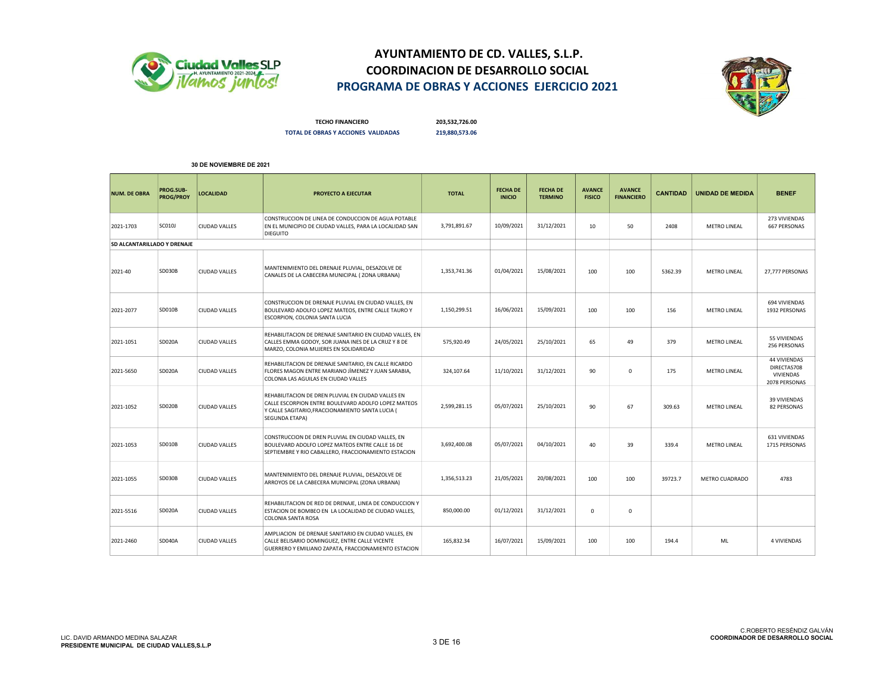



TECHO FINANCIERO 203,532,726.00 TOTAL DE OBRAS Y ACCIONES VALIDADAS 219,880,573.06

| <b>NUM. DE OBRA</b>         | <b>PROG.SUB-</b><br>PROG/PROY | <b>LOCALIDAD</b>     | PROYECTO A EJECUTAR                                                                                                                                                             | <b>TOTAL</b> | <b>FECHA DE</b><br><b>INICIO</b> | <b>FECHA DE</b><br><b>TERMINO</b> | <b>AVANCE</b><br><b>FISICO</b> | <b>AVANCE</b><br><b>FINANCIERO</b> | <b>CANTIDAD</b> | <b>UNIDAD DE MEDIDA</b> | <b>BENEF</b>                                              |
|-----------------------------|-------------------------------|----------------------|---------------------------------------------------------------------------------------------------------------------------------------------------------------------------------|--------------|----------------------------------|-----------------------------------|--------------------------------|------------------------------------|-----------------|-------------------------|-----------------------------------------------------------|
| 2021-1703                   | <b>SC010J</b>                 | <b>CIUDAD VALLES</b> | CONSTRUCCION DE LINEA DE CONDUCCION DE AGUA POTABLE<br>EN EL MUNICIPIO DE CIUDAD VALLES, PARA LA LOCALIDAD SAN<br><b>DIEGUITO</b>                                               | 3,791,891.67 | 10/09/2021                       | 31/12/2021                        | 10                             | 50                                 | 2408            | <b>METRO LINEAL</b>     | 273 VIVIENDAS<br><b>667 PERSONAS</b>                      |
| SD ALCANTARILLADO Y DRENAJE |                               |                      |                                                                                                                                                                                 |              |                                  |                                   |                                |                                    |                 |                         |                                                           |
| 2021-40                     | <b>SD030B</b>                 | <b>CIUDAD VALLES</b> | MANTENIMIENTO DEL DRENAJE PLUVIAL, DESAZOLVE DE<br>CANALES DE LA CABECERA MUNICIPAL ( ZONA URBANA)                                                                              | 1,353,741.36 | 01/04/2021                       | 15/08/2021                        | 100                            | 100                                | 5362.39         | METRO LINEAL            | 27,777 PERSONAS                                           |
| 2021-2077                   | <b>SD010B</b>                 | <b>CIUDAD VALLES</b> | CONSTRUCCION DE DRENAJE PLUVIAL EN CIUDAD VALLES, EN<br>BOULEVARD ADOLFO LOPEZ MATEOS, ENTRE CALLE TAURO Y<br>ESCORPION, COLONIA SANTA LUCIA                                    | 1,150,299.51 | 16/06/2021                       | 15/09/2021                        | 100                            | 100                                | 156             | <b>METRO LINEAL</b>     | 694 VIVIENDAS<br>1932 PERSONAS                            |
| 2021-1051                   | <b>SD020A</b>                 | <b>CIUDAD VALLES</b> | REHABILITACION DE DRENAJE SANITARIO EN CIUDAD VALLES, EN<br>CALLES EMMA GODOY, SOR JUANA INES DE LA CRUZ Y 8 DE<br>MARZO, COLONIA MUJERES EN SOLIDARIDAD                        | 575,920.49   | 24/05/2021                       | 25/10/2021                        | 65                             | 49                                 | 379             | <b>METRO LINEAL</b>     | 55 VIVIENDAS<br>256 PERSONAS                              |
| 2021-5650                   | <b>SD020A</b>                 | <b>CIUDAD VALLES</b> | REHABILITACION DE DRENAJE SANITARIO, EN CALLE RICARDO<br>FLORES MAGON ENTRE MARIANO JÌMENEZ Y JUAN SARABIA,<br>COLONIA LAS AGUILAS EN CIUDAD VALLES                             | 324,107.64   | 11/10/2021                       | 31/12/2021                        | 90                             | $^{\circ}$                         | 175             | <b>METRO LINEAL</b>     | 44 VIVIENDAS<br>DIRECTAS708<br>VIVIENDAS<br>2078 PERSONAS |
| 2021-1052                   | <b>SD020B</b>                 | <b>CIUDAD VALLES</b> | REHABILITACION DE DREN PLUVIAL EN CIUDAD VALLES EN<br>CALLE ESCORPION ENTRE BOULEVARD ADOLFO LOPEZ MATEOS<br>Y CALLE SAGITARIO, FRACCIONAMIENTO SANTA LUCIA (<br>SEGUNDA ETAPA) | 2,599,281.15 | 05/07/2021                       | 25/10/2021                        | 90                             | 67                                 | 309.63          | <b>METRO LINEAL</b>     | <b>39 VIVIENDAS</b><br><b>82 PERSONAS</b>                 |
| 2021-1053                   | <b>SD010B</b>                 | <b>CIUDAD VALLES</b> | CONSTRUCCION DE DREN PLUVIAL EN CIUDAD VALLES, EN<br>BOULEVARD ADOLFO LOPEZ MATEOS ENTRE CALLE 16 DE<br>SEPTIEMBRE Y RIO CABALLERO, FRACCIONAMIENTO ESTACION                    | 3,692,400.08 | 05/07/2021                       | 04/10/2021                        | 40                             | 39                                 | 339.4           | <b>METRO LINEAL</b>     | 631 VIVIENDAS<br>1715 PERSONAS                            |
| 2021-1055                   | SD030B                        | CIUDAD VALLES        | MANTENIMIENTO DEL DRENAJE PLUVIAL, DESAZOLVE DE<br>ARROYOS DE LA CABECERA MUNICIPAL (ZONA URBANA)                                                                               | 1,356,513.23 | 21/05/2021                       | 20/08/2021                        | 100                            | 100                                | 39723.7         | METRO CUADRADO          | 4783                                                      |
| 2021-5516                   | <b>SD020A</b>                 | <b>CIUDAD VALLES</b> | REHABILITACION DE RED DE DRENAJE, LINEA DE CONDUCCION Y<br>ESTACION DE BOMBEO EN LA LOCALIDAD DE CIUDAD VALLES.<br>COLONIA SANTA ROSA                                           | 850,000.00   | 01/12/2021                       | 31/12/2021                        | $\mathbf 0$                    | $\mathbf 0$                        |                 |                         |                                                           |
| 2021-2460                   | <b>SD040A</b>                 | <b>CIUDAD VALLES</b> | AMPLIACION DE DRENAJE SANITARIO EN CIUDAD VALLES, EN<br>CALLE BELISARIO DOMINGUEZ, ENTRE CALLE VICENTE<br>GUERRERO Y EMILIANO ZAPATA, FRACCIONAMIENTO ESTACION                  | 165,832.34   | 16/07/2021                       | 15/09/2021                        | 100                            | 100                                | 194.4           | ML                      | <b>4 VIVIENDAS</b>                                        |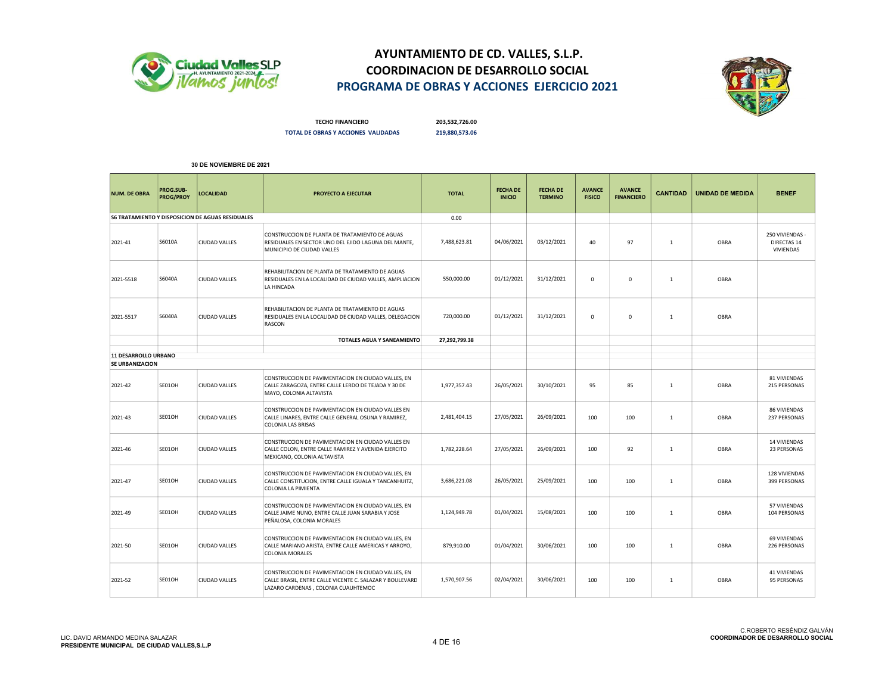



TECHO FINANCIERO 203,532,726.00 TOTAL DE OBRAS Y ACCIONES VALIDADAS 219,880,573.06

| <b>NUM. DE OBRA</b>         | PROG.SUB-<br><b>PROG/PROY</b> | <b>LOCALIDAD</b>                                        | PROYECTO A EJECUTAR                                                                                                                                   | <b>TOTAL</b>  | <b>FECHA DE</b><br><b>INICIO</b> | <b>FECHA DE</b><br><b>TERMINO</b> | <b>AVANCE</b><br><b>FISICO</b> | <b>AVANCE</b><br><b>FINANCIERO</b> | <b>CANTIDAD</b> | <b>UNIDAD DE MEDIDA</b> | <b>BENEF</b>                                |
|-----------------------------|-------------------------------|---------------------------------------------------------|-------------------------------------------------------------------------------------------------------------------------------------------------------|---------------|----------------------------------|-----------------------------------|--------------------------------|------------------------------------|-----------------|-------------------------|---------------------------------------------|
|                             |                               | <b>S6 TRATAMIENTO Y DISPOSICION DE AGUAS RESIDUALES</b> |                                                                                                                                                       | 0.00          |                                  |                                   |                                |                                    |                 |                         |                                             |
| 2021-41                     | S6010A                        | <b>CIUDAD VALLES</b>                                    | CONSTRUCCION DE PLANTA DE TRATAMIENTO DE AGUAS<br>RESIDUALES EN SECTOR UNO DEL EJIDO LAGUNA DEL MANTE,<br>MUNICIPIO DE CIUDAD VALLES                  | 7,488,623.81  | 04/06/2021                       | 03/12/2021                        | 40                             | 97                                 | $\mathbf{1}$    | OBRA                    | 250 VIVIENDAS -<br>DIRECTAS 14<br>VIVIENDAS |
| 2021-5518                   | S6040A                        | <b>CIUDAD VALLES</b>                                    | REHABILITACION DE PLANTA DE TRATAMIENTO DE AGUAS<br>RESIDUALES EN LA LOCALIDAD DE CIUDAD VALLES, AMPLIACION<br>LA HINCADA                             | 550,000.00    | 01/12/2021                       | 31/12/2021                        | $\mathbf 0$                    | $\mathbf 0$                        | $\mathbf{1}$    | OBRA                    |                                             |
| 2021-5517                   | S6040A                        | <b>CIUDAD VALLES</b>                                    | REHABILITACION DE PLANTA DE TRATAMIENTO DE AGUAS<br>RESIDUALES EN LA LOCALIDAD DE CIUDAD VALLES, DELEGACION<br>RASCON                                 | 720,000.00    | 01/12/2021                       | 31/12/2021                        | $\mathbf 0$                    | $\mathbf 0$                        | $\mathbf{1}$    | OBRA                    |                                             |
|                             |                               |                                                         | TOTALES AGUA Y SANEAMIENTO                                                                                                                            | 27,292,799.38 |                                  |                                   |                                |                                    |                 |                         |                                             |
| <b>11 DESARROLLO URBANO</b> |                               |                                                         |                                                                                                                                                       |               |                                  |                                   |                                |                                    |                 |                         |                                             |
| SE URBANIZACION             |                               |                                                         |                                                                                                                                                       |               |                                  |                                   |                                |                                    |                 |                         |                                             |
| 2021-42                     | SE01OH                        | <b>CIUDAD VALLES</b>                                    | CONSTRUCCION DE PAVIMENTACION EN CIUDAD VALLES, EN<br>CALLE ZARAGOZA, ENTRE CALLE LERDO DE TEJADA Y 30 DE<br>MAYO, COLONIA ALTAVISTA                  | 1,977,357.43  | 26/05/2021                       | 30/10/2021                        | 95                             | 85                                 | $\mathbf{1}$    | OBRA                    | 81 VIVIENDAS<br>215 PERSONAS                |
| 2021-43                     | SE01OH                        | <b>CIUDAD VALLES</b>                                    | CONSTRUCCION DE PAVIMENTACION EN CIUDAD VALLES EN<br>CALLE LINARES, ENTRE CALLE GENERAL OSUNA Y RAMIREZ,<br><b>COLONIA LAS BRISAS</b>                 | 2,481,404.15  | 27/05/2021                       | 26/09/2021                        | 100                            | 100                                | 1               | OBRA                    | 86 VIVIENDAS<br>237 PERSONAS                |
| 2021-46                     | SE01OH                        | <b>CIUDAD VALLES</b>                                    | CONSTRUCCION DE PAVIMENTACION EN CIUDAD VALLES EN<br>CALLE COLON, ENTRE CALLE RAMIREZ Y AVENIDA EJERCITO<br>MEXICANO, COLONIA ALTAVISTA               | 1,782,228.64  | 27/05/2021                       | 26/09/2021                        | 100                            | 92                                 | $\mathbf{1}$    | OBRA                    | <b>14 VIVIENDAS</b><br>23 PERSONAS          |
| 2021-47                     | SE01OH                        | <b>CIUDAD VALLES</b>                                    | CONSTRUCCION DE PAVIMENTACION EN CIUDAD VALLES, EN<br>CALLE CONSTITUCION, ENTRE CALLE IGUALA Y TANCANHUITZ,<br>COLONIA LA PIMIENTA                    | 3,686,221.08  | 26/05/2021                       | 25/09/2021                        | 100                            | 100                                | 1               | OBRA                    | 128 VIVIENDAS<br>399 PERSONAS               |
| 2021-49                     | SE01OH                        | CIUDAD VALLES                                           | CONSTRUCCION DE PAVIMENTACION EN CIUDAD VALLES, EN<br>CALLE JAIME NUNO, ENTRE CALLE JUAN SARABIA Y JOSE<br>PEÑALOSA, COLONIA MORALES                  | 1,124,949.78  | 01/04/2021                       | 15/08/2021                        | 100                            | 100                                | $\mathbf{1}$    | OBRA                    | 57 VIVIENDAS<br>104 PERSONAS                |
| 2021-50                     | SE01OH                        | <b>CIUDAD VALLES</b>                                    | CONSTRUCCION DE PAVIMENTACION EN CIUDAD VALLES, EN<br>CALLE MARIANO ARISTA, ENTRE CALLE AMERICAS Y ARROYO,<br><b>COLONIA MORALES</b>                  | 879,910.00    | 01/04/2021                       | 30/06/2021                        | 100                            | 100                                | $\mathbf{1}$    | OBRA                    | <b>69 VIVIENDAS</b><br>226 PERSONAS         |
| 2021-52                     | SE01OH                        | <b>CIUDAD VALLES</b>                                    | CONSTRUCCION DE PAVIMENTACION EN CIUDAD VALLES, EN<br>CALLE BRASIL, ENTRE CALLE VICENTE C. SALAZAR Y BOULEVARD<br>LAZARO CARDENAS, COLONIA CUAUHTEMOC | 1,570,907.56  | 02/04/2021                       | 30/06/2021                        | 100                            | 100                                | 1               | OBRA                    | 41 VIVIENDAS<br>95 PERSONAS                 |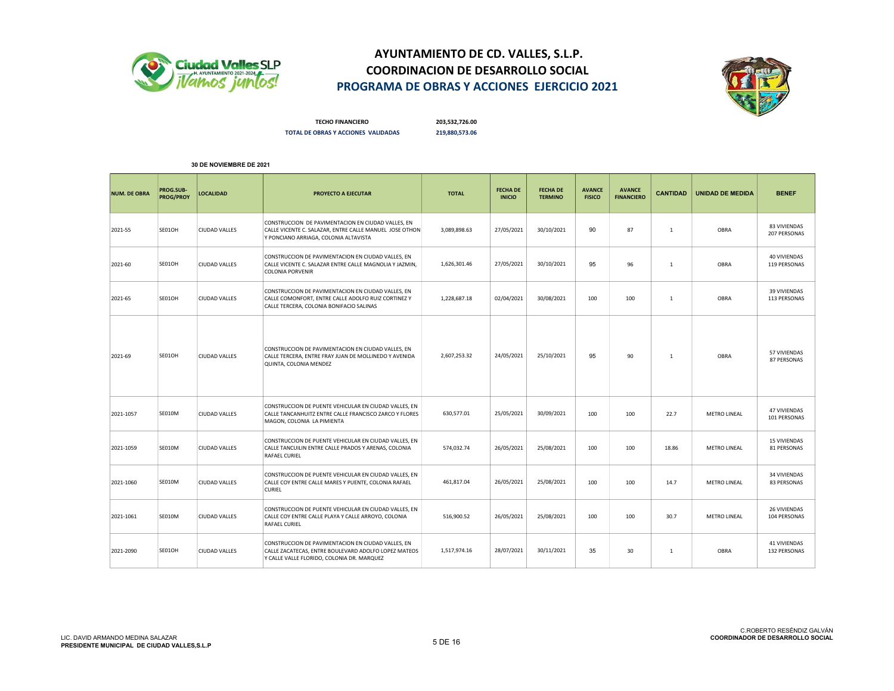



TECHO FINANCIERO 203,532,726.00 TOTAL DE OBRAS Y ACCIONES VALIDADAS 219,880,573.06

| <b>NUM. DE OBRA</b> | PROG.SUB-<br>PROG/PROY | <b>LOCALIDAD</b>     | PROYECTO A EJECUTAR                                                                                                                                      | <b>TOTAL</b> | <b>FECHA DE</b><br><b>INICIO</b> | <b>FECHA DE</b><br><b>TERMINO</b> | <b>AVANCE</b><br><b>FISICO</b> | <b>AVANCE</b><br><b>FINANCIERO</b> | <b>CANTIDAD</b> | <b>UNIDAD DE MEDIDA</b> | <b>BENEF</b>                        |
|---------------------|------------------------|----------------------|----------------------------------------------------------------------------------------------------------------------------------------------------------|--------------|----------------------------------|-----------------------------------|--------------------------------|------------------------------------|-----------------|-------------------------|-------------------------------------|
| 2021-55             | SE01OH                 | <b>CIUDAD VALLES</b> | CONSTRUCCION DE PAVIMENTACION EN CIUDAD VALLES, EN<br>CALLE VICENTE C. SALAZAR, ENTRE CALLE MANUEL JOSE OTHON<br>Y PONCIANO ARRIAGA, COLONIA ALTAVISTA   | 3,089,898.63 | 27/05/2021                       | 30/10/2021                        | 90                             | 87                                 | 1               | OBRA                    | 83 VIVIENDAS<br>207 PERSONAS        |
| 2021-60             | SE01OH                 | <b>CIUDAD VALLES</b> | CONSTRUCCION DE PAVIMENTACION EN CIUDAD VALLES, EN<br>CALLE VICENTE C. SALAZAR ENTRE CALLE MAGNOLIA Y JAZMIN.<br><b>COLONIA PORVENIR</b>                 | 1,626,301.46 | 27/05/2021                       | 30/10/2021                        | 95                             | 96                                 | 1               | OBRA                    | <b>40 VIVIENDAS</b><br>119 PERSONAS |
| 2021-65             | SE01OH                 | <b>CIUDAD VALLES</b> | CONSTRUCCION DE PAVIMENTACION EN CIUDAD VALLES, EN<br>CALLE COMONFORT, ENTRE CALLE ADOLFO RUIZ CORTINEZ Y<br>CALLE TERCERA, COLONIA BONIFACIO SALINAS    | 1,228,687.18 | 02/04/2021                       | 30/08/2021                        | 100                            | 100                                | 1               | OBRA                    | 39 VIVIENDAS<br>113 PERSONAS        |
| 2021-69             | SE01OH                 | <b>CIUDAD VALLES</b> | CONSTRUCCION DE PAVIMENTACION EN CIUDAD VALLES, EN<br>CALLE TERCERA, ENTRE FRAY JUAN DE MOLLINEDO Y AVENIDA<br>QUINTA, COLONIA MENDEZ                    | 2,607,253.32 | 24/05/2021                       | 25/10/2021                        | 95                             | 90                                 | 1               | OBRA                    | 57 VIVIENDAS<br>87 PERSONAS         |
| 2021-1057           | <b>SE010M</b>          | <b>CIUDAD VALLES</b> | CONSTRUCCION DE PUENTE VEHICULAR EN CIUDAD VALLES, EN<br>CALLE TANCANHUITZ ENTRE CALLE FRANCISCO ZARCO Y FLORES<br>MAGON, COLONIA LA PIMIENTA            | 630,577.01   | 25/05/2021                       | 30/09/2021                        | 100                            | 100                                | 22.7            | <b>METRO LINEAL</b>     | <b>47 VIVIENDAS</b><br>101 PERSONAS |
| 2021-1059           | <b>SE010M</b>          | <b>CIUDAD VALLES</b> | CONSTRUCCION DE PUENTE VEHICULAR EN CIUDAD VALLES, EN<br>CALLE TANCUILIN ENTRE CALLE PRADOS Y ARENAS, COLONIA<br><b>RAFAEL CURIEL</b>                    | 574,032.74   | 26/05/2021                       | 25/08/2021                        | 100                            | 100                                | 18.86           | <b>METRO LINEAL</b>     | <b>15 VIVIENDAS</b><br>81 PERSONAS  |
| 2021-1060           | <b>SE010M</b>          | <b>CIUDAD VALLES</b> | CONSTRUCCION DE PUENTE VEHICULAR EN CIUDAD VALLES, EN<br>CALLE COY ENTRE CALLE MARES Y PUENTE, COLONIA RAFAEL<br><b>CURIEL</b>                           | 461,817.04   | 26/05/2021                       | 25/08/2021                        | 100                            | 100                                | 14.7            | <b>METRO LINEAL</b>     | 34 VIVIENDAS<br>83 PERSONAS         |
| 2021-1061           | <b>SE010M</b>          | <b>CIUDAD VALLES</b> | CONSTRUCCION DE PUENTE VEHICULAR EN CIUDAD VALLES, EN<br>CALLE COY ENTRE CALLE PLAYA Y CALLE ARROYO, COLONIA<br><b>RAFAEL CURIEL</b>                     | 516,900.52   | 26/05/2021                       | 25/08/2021                        | 100                            | 100                                | 30.7            | <b>METRO LINEAL</b>     | 26 VIVIENDAS<br>104 PERSONAS        |
| 2021-2090           | SE01OH                 | <b>CIUDAD VALLES</b> | CONSTRUCCION DE PAVIMENTACION EN CIUDAD VALLES, EN<br>CALLE ZACATECAS, ENTRE BOULEVARD ADOLFO LOPEZ MATEOS<br>Y CALLE VALLE FLORIDO, COLONIA DR. MARQUEZ | 1,517,974.16 | 28/07/2021                       | 30/11/2021                        | 35                             | 30                                 | 1               | OBRA                    | 41 VIVIENDAS<br>132 PERSONAS        |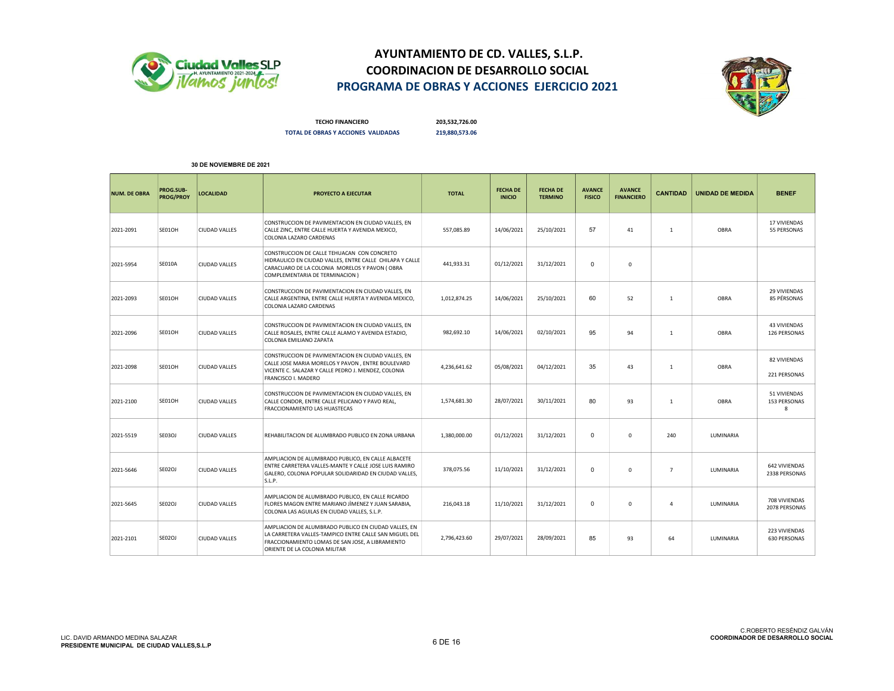



TECHO FINANCIERO 203,532,726.00 TOTAL DE OBRAS Y ACCIONES VALIDADAS 219,880,573.06

| <b>NUM. DE OBRA</b> | PROG.SUB-<br>PROG/PROY | <b>LOCALIDAD</b>     | <b>PROYECTO A EJECUTAR</b>                                                                                                                                                                          | <b>TOTAL</b> | <b>FECHA DE</b><br><b>INICIO</b> | <b>FECHA DE</b><br><b>TERMINO</b> | <b>AVANCE</b><br><b>FISICO</b> | <b>AVANCE</b><br><b>FINANCIERO</b> | <b>CANTIDAD</b> | <b>UNIDAD DE MEDIDA</b> | <b>BENEF</b>                         |
|---------------------|------------------------|----------------------|-----------------------------------------------------------------------------------------------------------------------------------------------------------------------------------------------------|--------------|----------------------------------|-----------------------------------|--------------------------------|------------------------------------|-----------------|-------------------------|--------------------------------------|
| 2021-2091           | SE01OH                 | <b>CIUDAD VALLES</b> | CONSTRUCCION DE PAVIMENTACION EN CIUDAD VALLES, EN<br>CALLE ZINC, ENTRE CALLE HUERTA Y AVENIDA MEXICO,<br>COLONIA LAZARO CARDENAS                                                                   | 557.085.89   | 14/06/2021                       | 25/10/2021                        | 57                             | 41                                 | 1               | OBRA                    | 17 VIVIENDAS<br>55 PERSONAS          |
| 2021-5954           | <b>SE010A</b>          | <b>CIUDAD VALLES</b> | CONSTRUCCION DE CALLE TEHUACAN CON CONCRETO<br>HIDRAULICO EN CIUDAD VALLES, ENTRE CALLE CHILAPA Y CALLE<br>CARACUARO DE LA COLONIA MORELOS Y PAVON (OBRA<br>COMPLEMENTARIA DE TERMINACION)          | 441.933.31   | 01/12/2021                       | 31/12/2021                        | $\mathbf 0$                    | $\Omega$                           |                 |                         |                                      |
| 2021-2093           | SE01OH                 | <b>CIUDAD VALLES</b> | CONSTRUCCION DE PAVIMENTACION EN CIUDAD VALLES, EN<br>CALLE ARGENTINA, ENTRE CALLE HUERTA Y AVENIDA MEXICO,<br>COLONIA LAZARO CARDENAS                                                              | 1,012,874.25 | 14/06/2021                       | 25/10/2021                        | 60                             | 52                                 | 1               | OBRA                    | <b>29 VIVIENDAS</b><br>85 PÉRSONAS   |
| 2021-2096           | SE01OH                 | <b>CIUDAD VALLES</b> | CONSTRUCCION DE PAVIMENTACION EN CIUDAD VALLES, EN<br>CALLE ROSALES, ENTRE CALLE ALAMO Y AVENIDA ESTADIO,<br>COLONIA EMILIANO ZAPATA                                                                | 982,692.10   | 14/06/2021                       | 02/10/2021                        | 95                             | 94                                 | 1               | OBRA                    | <b>43 VIVIENDAS</b><br>126 PERSONAS  |
| 2021-2098           | SE01OH                 | <b>CIUDAD VALLES</b> | CONSTRUCCION DE PAVIMENTACION EN CIUDAD VALLES, EN<br>CALLE JOSE MARIA MORELOS Y PAVON, ENTRE BOULEVARD<br>VICENTE C. SALAZAR Y CALLE PEDRO J. MENDEZ, COLONIA<br>FRANCISCO I. MADERO               | 4,236,641.62 | 05/08/2021                       | 04/12/2021                        | 35                             | 43                                 | 1               | OBRA                    | 82 VIVIENDAS<br>221 PERSONAS         |
| 2021-2100           | SE01OH                 | <b>CIUDAD VALLES</b> | CONSTRUCCION DE PAVIMENTACION EN CIUDAD VALLES, EN<br>CALLE CONDOR, ENTRE CALLE PELICANO Y PAVO REAL,<br>FRACCIONAMIENTO LAS HUASTECAS                                                              | 1,574,681.30 | 28/07/2021                       | 30/11/2021                        | 80                             | 93                                 | $\mathbf{1}$    | OBRA                    | 51 VIVIENDAS<br>153 PERSONAS<br>8    |
| 2021-5519           | <b>SE03OJ</b>          | <b>CIUDAD VALLES</b> | REHABILITACION DE ALUMBRADO PUBLICO EN ZONA URBANA                                                                                                                                                  | 1,380,000.00 | 01/12/2021                       | 31/12/2021                        | $\mathbf 0$                    | $\mathbf 0$                        | 240             | LUMINARIA               |                                      |
| 2021-5646           | SE02OJ                 | <b>CIUDAD VALLES</b> | AMPLIACION DE ALUMBRADO PUBLICO, EN CALLE ALBACETE<br>ENTRE CARRETERA VALLES-MANTE Y CALLE JOSE LUIS RAMIRO<br>GALERO, COLONIA POPULAR SOLIDARIDAD EN CIUDAD VALLES,<br>S.L.P.                      | 378,075.56   | 11/10/2021                       | 31/12/2021                        | $\Omega$                       | $\Omega$                           | $\overline{7}$  | LUMINARIA               | 642 VIVIENDAS<br>2338 PERSONAS       |
| 2021-5645           | SE02OJ                 | <b>CIUDAD VALLES</b> | AMPLIACION DE ALUMBRADO PUBLICO, EN CALLE RICARDO<br>FLORES MAGON ENTRE MARIANO JÌMENEZ Y JUAN SARABIA,<br>COLONIA LAS AGUILAS EN CIUDAD VALLES, S.L.P.                                             | 216,043.18   | 11/10/2021                       | 31/12/2021                        | $\mathbf 0$                    | $\Omega$                           | $\overline{4}$  | LUMINARIA               | 708 VIVIENDAS<br>2078 PERSONAS       |
| 2021-2101           | <b>SE02OJ</b>          | <b>CIUDAD VALLES</b> | AMPLIACION DE ALUMBRADO PUBLICO EN CIUDAD VALLES. EN<br>LA CARRETERA VALLES-TAMPICO ENTRE CALLE SAN MIGUEL DEL<br>FRACCIONAMIENTO LOMAS DE SAN JOSE, A LIBRAMIENTO<br>ORIENTE DE LA COLONIA MILITAR | 2,796,423.60 | 29/07/2021                       | 28/09/2021                        | 85                             | 93                                 | 64              | LUMINARIA               | 223 VIVIENDAS<br><b>630 PERSONAS</b> |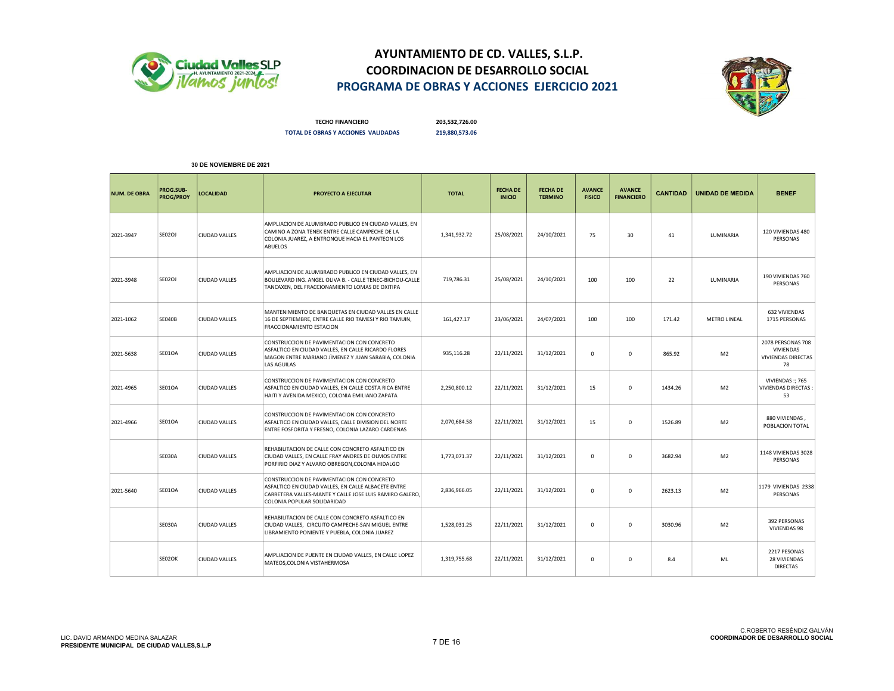



TECHO FINANCIERO 203,532,726.00 TOTAL DE OBRAS Y ACCIONES VALIDADAS 219,880,573.06

| <b>NUM. DE OBRA</b> | PROG.SUB-<br><b>PROG/PROY</b> | <b>LOCALIDAD</b>     | <b>PROYECTO A EJECUTAR</b>                                                                                                                                                                  | <b>TOTAL</b> | <b>FECHA DE</b><br><b>INICIO</b> | <b>FECHA DE</b><br><b>TERMINO</b> | <b>AVANCE</b><br><b>FISICO</b> | <b>AVANCE</b><br><b>FINANCIERO</b> | <b>CANTIDAD</b> | <b>UNIDAD DE MEDIDA</b> | <b>BENEF</b>                                                             |
|---------------------|-------------------------------|----------------------|---------------------------------------------------------------------------------------------------------------------------------------------------------------------------------------------|--------------|----------------------------------|-----------------------------------|--------------------------------|------------------------------------|-----------------|-------------------------|--------------------------------------------------------------------------|
| 2021-3947           | SE02OJ                        | <b>CIUDAD VALLES</b> | AMPLIACION DE ALUMBRADO PUBLICO EN CIUDAD VALLES, EN<br>CAMINO A ZONA TENEK ENTRE CALLE CAMPECHE DE LA<br>COLONIA JUAREZ, A ENTRONQUE HACIA EL PANTEON LOS<br><b>ABUELOS</b>                | 1,341,932.72 | 25/08/2021                       | 24/10/2021                        | 75                             | 30                                 | 41              | LUMINARIA               | 120 VIVIENDAS 480<br>PERSONAS                                            |
| 2021-3948           | <b>SE02OJ</b>                 | <b>CIUDAD VALLES</b> | AMPLIACION DE ALUMBRADO PUBLICO EN CIUDAD VALLES, EN<br>BOULEVARD ING. ANGEL OLIVA B. - CALLE TENEC-BICHOU-CALLE<br>TANCAXEN, DEL FRACCIONAMIENTO LOMAS DE OXITIPA                          | 719,786.31   | 25/08/2021                       | 24/10/2021                        | 100                            | 100                                | 22              | LUMINARIA               | 190 VIVIENDAS 760<br>PERSONAS                                            |
| 2021-1062           | <b>SE040B</b>                 | <b>CIUDAD VALLES</b> | MANTENIMIENTO DE BANQUETAS EN CIUDAD VALLES EN CALLE<br>16 DE SEPTIEMBRE, ENTRE CALLE RIO TAMESI Y RIO TAMUIN,<br><b>FRACCIONAMIENTO ESTACION</b>                                           | 161,427.17   | 23/06/2021                       | 24/07/2021                        | 100                            | 100                                | 171.42          | <b>METRO LINEAL</b>     | 632 VIVIENDAS<br>1715 PERSONAS                                           |
| 2021-5638           | SE01OA                        | <b>CIUDAD VALLES</b> | CONSTRUCCION DE PAVIMENTACION CON CONCRETO<br>ASFALTICO EN CIUDAD VALLES. EN CALLE RICARDO FLORES<br>MAGON ENTRE MARIANO JÌMENEZ Y JUAN SARABIA, COLONIA<br><b>LAS AGUILAS</b>              | 935,116.28   | 22/11/2021                       | 31/12/2021                        | 0                              | $\mathbf 0$                        | 865.92          | M <sub>2</sub>          | 2078 PERSONAS 708<br><b>VIVIENDAS</b><br><b>VIVIENDAS DIRECTAS</b><br>78 |
| 2021-4965           | SE01OA                        | <b>CIUDAD VALLES</b> | CONSTRUCCION DE PAVIMENTACION CON CONCRETO<br>ASFALTICO EN CIUDAD VALLES, EN CALLE COSTA RICA ENTRE<br>HAITI Y AVENIDA MEXICO, COLONIA EMILIANO ZAPATA                                      | 2,250,800.12 | 22/11/2021                       | 31/12/2021                        | 15                             | $\mathbf 0$                        | 1434.26         | M <sub>2</sub>          | VIVIENDAS:; 765<br><b>VIVIENDAS DIRECTAS:</b><br>53                      |
| 2021-4966           | SE01OA                        | <b>CIUDAD VALLES</b> | CONSTRUCCION DE PAVIMENTACION CON CONCRETO<br>ASFALTICO EN CIUDAD VALLES, CALLE DIVISION DEL NORTE<br>ENTRE FOSFORITA Y FRESNO, COLONIA LAZARO CARDENAS                                     | 2,070,684.58 | 22/11/2021                       | 31/12/2021                        | 15                             | $\mathbf 0$                        | 1526.89         | M <sub>2</sub>          | 880 VIVIENDAS,<br>POBLACION TOTAL                                        |
|                     | <b>SE030A</b>                 | <b>CIUDAD VALLES</b> | REHABILITACION DE CALLE CON CONCRETO ASFALTICO EN<br>CIUDAD VALLES, EN CALLE FRAY ANDRES DE OLMOS ENTRE<br>PORFIRIO DIAZ Y ALVARO OBREGON, COLONIA HIDALGO                                  | 1,773,071.37 | 22/11/2021                       | 31/12/2021                        | 0                              | $\mathbf{0}$                       | 3682.94         | M <sub>2</sub>          | 1148 VIVIENDAS 3028<br>PERSONAS                                          |
| 2021-5640           | SE01OA                        | <b>CIUDAD VALLES</b> | CONSTRUCCION DE PAVIMENTACION CON CONCRETO<br>ASFALTICO EN CIUDAD VALLES. EN CALLE ALBACETE ENTRE<br>CARRETERA VALLES-MANTE Y CALLE JOSE LUIS RAMIRO GALERO,<br>COLONIA POPULAR SOLIDARIDAD | 2,836,966.05 | 22/11/2021                       | 31/12/2021                        | 0                              | $\mathbf 0$                        | 2623.13         | M <sub>2</sub>          | 1179 VIVIENDAS 2338<br>PERSONAS                                          |
|                     | <b>SE030A</b>                 | <b>CIUDAD VALLES</b> | REHABILITACION DE CALLE CON CONCRETO ASFALTICO EN<br>CIUDAD VALLES. CIRCUITO CAMPECHE-SAN MIGUEL ENTRE<br>LIBRAMIENTO PONIENTE Y PUEBLA, COLONIA JUAREZ                                     | 1.528.031.25 | 22/11/2021                       | 31/12/2021                        | 0                              | $\mathbf 0$                        | 3030.96         | M <sub>2</sub>          | 392 PERSONAS<br>VIVIENDAS 98                                             |
|                     | SE02OK                        | <b>CIUDAD VALLES</b> | AMPLIACION DE PUENTE EN CIUDAD VALLES, EN CALLE LOPEZ<br>MATEOS.COLONIA VISTAHERMOSA                                                                                                        | 1,319,755.68 | 22/11/2021                       | 31/12/2021                        | 0                              | $\mathbf 0$                        | 8.4             | ML                      | 2217 PESONAS<br>28 VIVIENDAS<br><b>DIRECTAS</b>                          |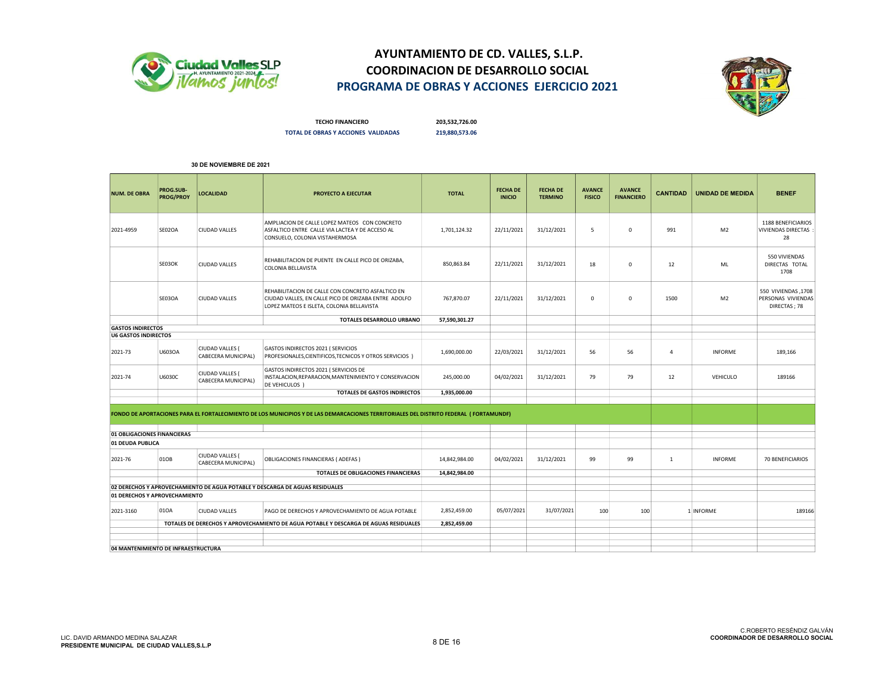



TECHO FINANCIERO 203,532,726.00 TOTAL DE OBRAS Y ACCIONES VALIDADAS 219,880,573.06

| AMPLIACION DE CALLE LOPEZ MATEOS CON CONCRETO<br>SE02OA<br>22/11/2021<br>31/12/2021<br>1,701,124.32<br>5<br>$\mathbf 0$<br>991<br>M <sub>2</sub><br>2021-4959<br><b>CIUDAD VALLES</b><br>ASFALTICO ENTRE CALLE VIA LACTEA Y DE ACCESO AL<br>CONSUELO, COLONIA VISTAHERMOSA<br>REHABILITACION DE PUENTE EN CALLE PICO DE ORIZABA,<br>SE03OK<br>22/11/2021<br>31/12/2021<br><b>CIUDAD VALLES</b><br>850,863.84<br>18<br>0<br>12<br>ML<br><b>COLONIA BELLAVISTA</b><br>REHABILITACION DE CALLE CON CONCRETO ASFALTICO EN<br>SE03OA<br>767,870.07<br>22/11/2021<br>31/12/2021<br>CIUDAD VALLES, EN CALLE PICO DE ORIZABA ENTRE ADOLFO<br>M <sub>2</sub><br><b>CIUDAD VALLES</b><br>0<br>0<br>1500<br>LOPEZ MATEOS E ISLETA, COLONIA BELLAVISTA<br>TOTALES DESARROLLO URBANO<br>57,590,301.27<br><b>GASTOS INDIRECTOS</b><br><b>U6 GASTOS INDIRECTOS</b><br>CIUDAD VALLES (<br>GASTOS INDIRECTOS 2021 ( SERVICIOS<br>U603OA<br>2021-73<br>31/12/2021<br>56<br>56<br>INFORME<br>1,690,000.00<br>22/03/2021<br>$\overline{a}$<br>CABECERA MUNICIPAL)<br>PROFESIONALES, CIENTIFICOS, TECNICOS Y OTROS SERVICIOS )<br>GASTOS INDIRECTOS 2021 ( SERVICIOS DE<br>CIUDAD VALLES (<br>12<br>2021-74<br>U6030C<br>INSTALACION, REPARACION, MANTENIMIENTO Y CONSERVACION<br>245,000.00<br>04/02/2021<br>31/12/2021<br>79<br>79<br>VEHICULO<br>CABECERA MUNICIPAL)<br>DE VEHICULOS )<br><b>TOTALES DE GASTOS INDIRECTOS</b><br>1,935,000.00 | <b>BENEF</b>                                              |
|-----------------------------------------------------------------------------------------------------------------------------------------------------------------------------------------------------------------------------------------------------------------------------------------------------------------------------------------------------------------------------------------------------------------------------------------------------------------------------------------------------------------------------------------------------------------------------------------------------------------------------------------------------------------------------------------------------------------------------------------------------------------------------------------------------------------------------------------------------------------------------------------------------------------------------------------------------------------------------------------------------------------------------------------------------------------------------------------------------------------------------------------------------------------------------------------------------------------------------------------------------------------------------------------------------------------------------------------------------------------------------------------------------------------------------|-----------------------------------------------------------|
|                                                                                                                                                                                                                                                                                                                                                                                                                                                                                                                                                                                                                                                                                                                                                                                                                                                                                                                                                                                                                                                                                                                                                                                                                                                                                                                                                                                                                             | 1188 BENEFICIARIOS<br>VIVIENDAS DIRECTAS :<br>28          |
|                                                                                                                                                                                                                                                                                                                                                                                                                                                                                                                                                                                                                                                                                                                                                                                                                                                                                                                                                                                                                                                                                                                                                                                                                                                                                                                                                                                                                             | 550 VIVIENDAS<br>DIRECTAS TOTAL<br>1708                   |
|                                                                                                                                                                                                                                                                                                                                                                                                                                                                                                                                                                                                                                                                                                                                                                                                                                                                                                                                                                                                                                                                                                                                                                                                                                                                                                                                                                                                                             | 550 VIVIENDAS, 1708<br>PERSONAS VIVIENDAS<br>DIRECTAS; 78 |
|                                                                                                                                                                                                                                                                                                                                                                                                                                                                                                                                                                                                                                                                                                                                                                                                                                                                                                                                                                                                                                                                                                                                                                                                                                                                                                                                                                                                                             |                                                           |
|                                                                                                                                                                                                                                                                                                                                                                                                                                                                                                                                                                                                                                                                                                                                                                                                                                                                                                                                                                                                                                                                                                                                                                                                                                                                                                                                                                                                                             |                                                           |
|                                                                                                                                                                                                                                                                                                                                                                                                                                                                                                                                                                                                                                                                                                                                                                                                                                                                                                                                                                                                                                                                                                                                                                                                                                                                                                                                                                                                                             | 189,166                                                   |
|                                                                                                                                                                                                                                                                                                                                                                                                                                                                                                                                                                                                                                                                                                                                                                                                                                                                                                                                                                                                                                                                                                                                                                                                                                                                                                                                                                                                                             | 189166                                                    |
|                                                                                                                                                                                                                                                                                                                                                                                                                                                                                                                                                                                                                                                                                                                                                                                                                                                                                                                                                                                                                                                                                                                                                                                                                                                                                                                                                                                                                             |                                                           |
| FONDO DE APORTACIONES PARA EL FORTALECIMIENTO DE LOS MUNICIPIOS Y DE LAS DEMARCACIONES TERRITORIALES DEL DISTRITO FEDERAL (FORTAMUNDF)                                                                                                                                                                                                                                                                                                                                                                                                                                                                                                                                                                                                                                                                                                                                                                                                                                                                                                                                                                                                                                                                                                                                                                                                                                                                                      |                                                           |
| 01 OBLIGACIONES FINANCIERAS<br>01 DEUDA PUBLICA                                                                                                                                                                                                                                                                                                                                                                                                                                                                                                                                                                                                                                                                                                                                                                                                                                                                                                                                                                                                                                                                                                                                                                                                                                                                                                                                                                             |                                                           |
| CIUDAD VALLES (<br>01OB<br>04/02/2021<br>31/12/2021<br>14,842,984.00<br>99<br>99<br><b>INFORME</b><br>2021-76<br>OBLIGACIONES FINANCIERAS (ADEFAS)<br>1<br>CABECERA MUNICIPAL)                                                                                                                                                                                                                                                                                                                                                                                                                                                                                                                                                                                                                                                                                                                                                                                                                                                                                                                                                                                                                                                                                                                                                                                                                                              | 70 BENEFICIARIOS                                          |
| TOTALES DE OBLIGACIONES FINANCIERAS<br>14,842,984.00                                                                                                                                                                                                                                                                                                                                                                                                                                                                                                                                                                                                                                                                                                                                                                                                                                                                                                                                                                                                                                                                                                                                                                                                                                                                                                                                                                        |                                                           |
| 02 DERECHOS Y APROVECHAMIENTO DE AGUA POTABLE Y DESCARGA DE AGUAS RESIDUALES                                                                                                                                                                                                                                                                                                                                                                                                                                                                                                                                                                                                                                                                                                                                                                                                                                                                                                                                                                                                                                                                                                                                                                                                                                                                                                                                                |                                                           |
| 01 DERECHOS Y APROVECHAMIENTO                                                                                                                                                                                                                                                                                                                                                                                                                                                                                                                                                                                                                                                                                                                                                                                                                                                                                                                                                                                                                                                                                                                                                                                                                                                                                                                                                                                               |                                                           |
| 010A<br>2,852,459.00<br>05/07/2021<br>31/07/2021<br><b>CIUDAD VALLES</b><br>100<br>100<br>1 INFORME<br>2021-3160<br>PAGO DE DERECHOS Y APROVECHAMIENTO DE AGUA POTABLE                                                                                                                                                                                                                                                                                                                                                                                                                                                                                                                                                                                                                                                                                                                                                                                                                                                                                                                                                                                                                                                                                                                                                                                                                                                      | 189166                                                    |
| TOTALES DE DERECHOS Y APROVECHAMIENTO DE AGUA POTABLE Y DESCARGA DE AGUAS RESIDUALES<br>2,852,459.00                                                                                                                                                                                                                                                                                                                                                                                                                                                                                                                                                                                                                                                                                                                                                                                                                                                                                                                                                                                                                                                                                                                                                                                                                                                                                                                        |                                                           |
|                                                                                                                                                                                                                                                                                                                                                                                                                                                                                                                                                                                                                                                                                                                                                                                                                                                                                                                                                                                                                                                                                                                                                                                                                                                                                                                                                                                                                             |                                                           |
| 04 MANTENIMIENTO DE INFRAESTRUCTURA                                                                                                                                                                                                                                                                                                                                                                                                                                                                                                                                                                                                                                                                                                                                                                                                                                                                                                                                                                                                                                                                                                                                                                                                                                                                                                                                                                                         |                                                           |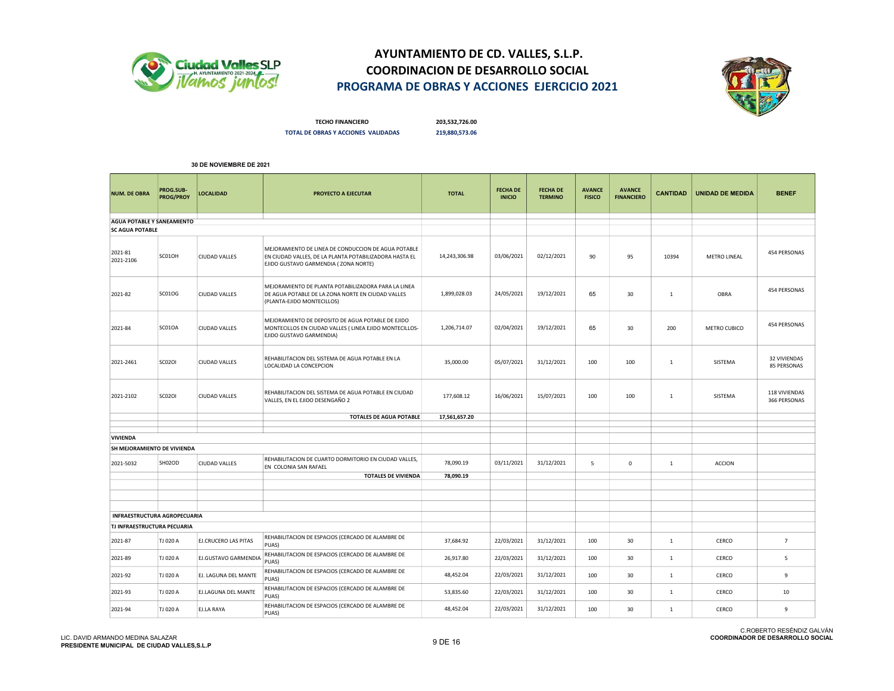



TECHO FINANCIERO 203,532,726.00 TOTAL DE OBRAS Y ACCIONES VALIDADAS 219,880,573.06

| <b>NUM. DE OBRA</b>               | PROG.SUB-<br>PROG/PROY       | LOCALIDAD            | PROYECTO A EJECUTAR                                                                                                                                   | <b>TOTAL</b>  | <b>FECHA DE</b><br><b>INICIO</b> | <b>FECHA DE</b><br><b>TERMINO</b> | <b>AVANCE</b><br><b>FISICO</b> | <b>AVANCE</b><br><b>FINANCIERO</b> | <b>CANTIDAD</b> | <b>UNIDAD DE MEDIDA</b> | <b>BENEF</b>                       |
|-----------------------------------|------------------------------|----------------------|-------------------------------------------------------------------------------------------------------------------------------------------------------|---------------|----------------------------------|-----------------------------------|--------------------------------|------------------------------------|-----------------|-------------------------|------------------------------------|
| <b>AGUA POTABLE Y SANEAMIENTO</b> |                              |                      |                                                                                                                                                       |               |                                  |                                   |                                |                                    |                 |                         |                                    |
| <b>SC AGUA POTABLE</b>            |                              |                      |                                                                                                                                                       |               |                                  |                                   |                                |                                    |                 |                         |                                    |
| 2021-81<br>2021-2106              | SC01OH                       | CIUDAD VALLES        | MEJORAMIENTO DE LINEA DE CONDUCCION DE AGUA POTABLE<br>EN CIUDAD VALLES, DE LA PLANTA POTABILIZADORA HASTA EL<br>EJIDO GUSTAVO GARMENDIA (ZONA NORTE) | 14,243,306.98 | 03/06/2021                       | 02/12/2021                        | 90                             | 95                                 | 10394           | METRO LINEAL            | 454 PERSONAS                       |
| 2021-82                           | SC01OG                       | <b>CIUDAD VALLES</b> | MEJORAMIENTO DE PLANTA POTABILIZADORA PARA LA LINEA<br>DE AGUA POTABLE DE LA ZONA NORTE EN CIUDAD VALLES<br>(PLANTA-EJIDO MONTECILLOS)                | 1,899,028.03  | 24/05/2021                       | 19/12/2021                        | 65                             | 30                                 | 1               | OBRA                    | 454 PERSONAS                       |
| 2021-84                           | SC01OA                       | CIUDAD VALLES        | MEJORAMIENTO DE DEPOSITO DE AGUA POTABLE DE EJIDO<br>MONTECILLOS EN CIUDAD VALLES (LINEA EJIDO MONTECILLOS-<br>EJIDO GUSTAVO GARMENDIA)               | 1,206,714.07  | 02/04/2021                       | 19/12/2021                        | 65                             | 30                                 | 200             | METRO CUBICO            | 454 PERSONAS                       |
| 2021-2461                         | <b>SC02OI</b>                | <b>CIUDAD VALLES</b> | REHABILITACION DEL SISTEMA DE AGUA POTABLE EN LA<br>LOCALIDAD LA CONCEPCION                                                                           | 35,000.00     | 05/07/2021                       | 31/12/2021                        | 100                            | 100                                | $\mathbf 1$     | SISTEMA                 | 32 VIVIENDAS<br><b>85 PERSONAS</b> |
| 2021-2102                         | <b>SC02OI</b>                | <b>CIUDAD VALLES</b> | REHABILITACION DEL SISTEMA DE AGUA POTABLE EN CIUDAD<br>VALLES, EN EL EJIDO DESENGAÑO 2                                                               | 177,608.12    | 16/06/2021                       | 15/07/2021                        | 100                            | 100                                | 1               | SISTEMA                 | 118 VIVIENDAS<br>366 PERSONAS      |
|                                   |                              |                      | <b>TOTALES DE AGUA POTABLE</b>                                                                                                                        | 17,561,657.20 |                                  |                                   |                                |                                    |                 |                         |                                    |
|                                   |                              |                      |                                                                                                                                                       |               |                                  |                                   |                                |                                    |                 |                         |                                    |
| VIVIENDA                          |                              |                      |                                                                                                                                                       |               |                                  |                                   |                                |                                    |                 |                         |                                    |
| SH MEJORAMIENTO DE VIVIENDA       |                              |                      |                                                                                                                                                       |               |                                  |                                   |                                |                                    |                 |                         |                                    |
| 2021-5032                         | SH02OD                       | CIUDAD VALLES        | REHABILITACION DE CUARTO DORMITORIO EN CIUDAD VALLES,<br>EN COLONIA SAN RAFAEL                                                                        | 78,090.19     | 03/11/2021                       | 31/12/2021                        | 5                              | 0                                  | 1               | <b>ACCION</b>           |                                    |
|                                   |                              |                      | <b>TOTALES DE VIVIENDA</b>                                                                                                                            | 78,090.19     |                                  |                                   |                                |                                    |                 |                         |                                    |
|                                   |                              |                      |                                                                                                                                                       |               |                                  |                                   |                                |                                    |                 |                         |                                    |
|                                   |                              |                      |                                                                                                                                                       |               |                                  |                                   |                                |                                    |                 |                         |                                    |
|                                   |                              |                      |                                                                                                                                                       |               |                                  |                                   |                                |                                    |                 |                         |                                    |
|                                   | INFRAESTRUCTURA AGROPECUARIA |                      |                                                                                                                                                       |               |                                  |                                   |                                |                                    |                 |                         |                                    |
| TJ INFRAESTRUCTURA PECUARIA       |                              |                      |                                                                                                                                                       |               |                                  |                                   |                                |                                    |                 |                         |                                    |
| 2021-87                           | TJ 020 A                     | EJ.CRUCERO LAS PITAS | REHABILITACION DE ESPACIOS (CERCADO DE ALAMBRE DE<br>PUAS)                                                                                            | 37,684.92     | 22/03/2021                       | 31/12/2021                        | 100                            | 30                                 | 1               | CERCO                   | $\overline{7}$                     |
| 2021-89                           | TJ 020 A                     | EJ.GUSTAVO GARMENDIA | REHABILITACION DE ESPACIOS (CERCADO DE ALAMBRE DE<br>PUAS)                                                                                            | 26,917.80     | 22/03/2021                       | 31/12/2021                        | 100                            | 30                                 | 1               | CERCO                   | 5                                  |
| 2021-92                           | TJ 020 A                     | EJ. LAGUNA DEL MANTE | REHABILITACION DE ESPACIOS (CERCADO DE ALAMBRE DE<br>PUAS)                                                                                            | 48,452.04     | 22/03/2021                       | 31/12/2021                        | 100                            | 30                                 | $\mathbf{1}$    | CERCO                   | 9                                  |
| 2021-93                           | TJ 020 A                     | EJ.LAGUNA DEL MANTE  | REHABILITACION DE ESPACIOS (CERCADO DE ALAMBRE DE<br>PUAS)                                                                                            | 53,835.60     | 22/03/2021                       | 31/12/2021                        | 100                            | 30                                 | $\mathbf{1}$    | CERCO                   | 10                                 |
| 2021-94                           | TJ 020 A                     | EJ.LA RAYA           | REHABILITACION DE ESPACIOS (CERCADO DE ALAMBRE DE<br>PUAS)                                                                                            | 48,452.04     | 22/03/2021                       | 31/12/2021                        | 100                            | 30                                 | $\mathbf{1}$    | CERCO                   | 9                                  |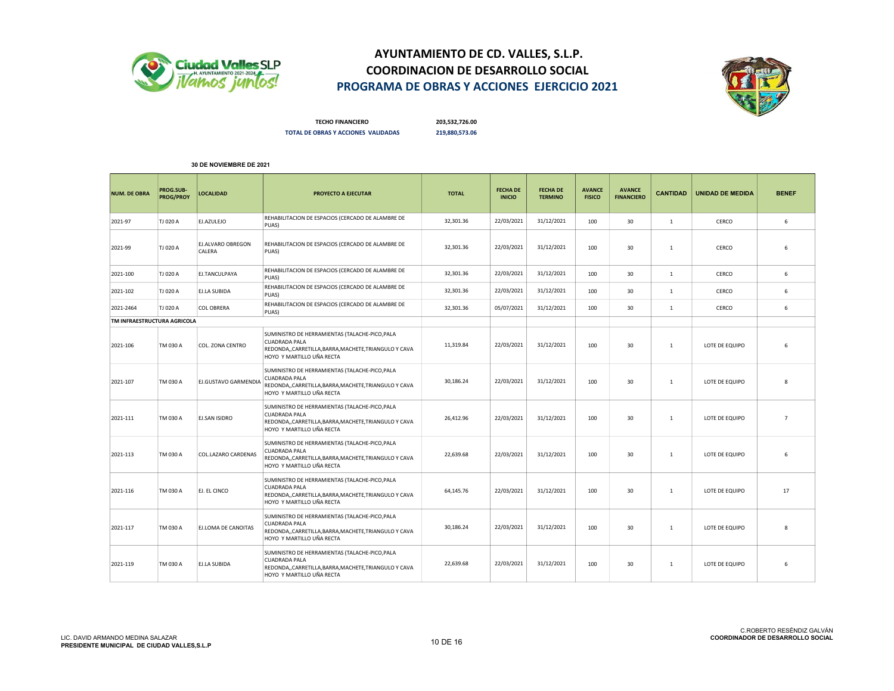



TECHO FINANCIERO 203,532,726.00 TOTAL DE OBRAS Y ACCIONES VALIDADAS 219,880,573.06

| <b>NUM. DE OBRA</b>         | PROG.SUB-<br>PROG/PROY | <b>LOCALIDAD</b>            | PROYECTO A EJECUTAR                                                                                                                                       | <b>TOTAL</b> | <b>FECHA DE</b><br><b>INICIO</b> | <b>FECHA DE</b><br><b>TERMINO</b> | <b>AVANCE</b><br><b>FISICO</b> | <b>AVANCE</b><br><b>FINANCIERO</b> | <b>CANTIDAD</b> | <b>UNIDAD DE MEDIDA</b> | <b>BENEF</b>   |
|-----------------------------|------------------------|-----------------------------|-----------------------------------------------------------------------------------------------------------------------------------------------------------|--------------|----------------------------------|-----------------------------------|--------------------------------|------------------------------------|-----------------|-------------------------|----------------|
| 2021-97                     | TJ 020 A               | EJ.AZULEJO                  | REHABILITACION DE ESPACIOS (CERCADO DE ALAMBRE DE<br>PUAS)                                                                                                | 32,301.36    | 22/03/2021                       | 31/12/2021                        | 100                            | 30                                 | $\mathbf{1}$    | CERCO                   | 6              |
| 2021-99                     | TJ 020 A               | EJ.ALVARO OBREGON<br>CALERA | REHABILITACION DE ESPACIOS (CERCADO DE ALAMBRE DE<br>PUAS)                                                                                                | 32,301.36    | 22/03/2021                       | 31/12/2021                        | 100                            | 30                                 | $\mathbf{1}$    | CERCO                   | 6              |
| 2021-100                    | TJ 020 A               | EJ.TANCULPAYA               | REHABILITACION DE ESPACIOS (CERCADO DE ALAMBRE DE<br>PUAS)                                                                                                | 32,301.36    | 22/03/2021                       | 31/12/2021                        | 100                            | 30                                 | $\mathbf{1}$    | CERCO                   | 6              |
| 2021-102                    | TJ 020 A               | EJ.LA SUBIDA                | REHABILITACION DE ESPACIOS (CERCADO DE ALAMBRE DE<br>PUAS)                                                                                                | 32,301.36    | 22/03/2021                       | 31/12/2021                        | 100                            | 30                                 | $\mathbf{1}$    | CERCO                   | 6              |
| 2021-2464                   | TJ 020 A               | COL OBRERA                  | REHABILITACION DE ESPACIOS (CERCADO DE ALAMBRE DE<br>PUAS)                                                                                                | 32,301.36    | 05/07/2021                       | 31/12/2021                        | 100                            | 30                                 | $\mathbf{1}$    | CERCO                   | 6              |
| TM INFRAESTRUCTURA AGRICOLA |                        |                             |                                                                                                                                                           |              |                                  |                                   |                                |                                    |                 |                         |                |
| 2021-106                    | TM 030 A               | COL. ZONA CENTRO            | SUMINISTRO DE HERRAMIENTAS (TALACHE-PICO, PALA<br><b>CUADRADA PALA</b><br>REDONDA,,CARRETILLA,BARRA,MACHETE,TRIANGULO Y CAVA<br>HOYO Y MARTILLO UÑA RECTA | 11,319.84    | 22/03/2021                       | 31/12/2021                        | 100                            | 30                                 | $\mathbf{1}$    | LOTE DE EQUIPO          | 6              |
| 2021-107                    | TM 030 A               | <b>EJ.GUSTAVO GARMENDIA</b> | SUMINISTRO DE HERRAMIENTAS (TALACHE-PICO, PALA<br><b>CUADRADA PALA</b><br>REDONDA,,CARRETILLA,BARRA,MACHETE,TRIANGULO Y CAVA<br>HOYO Y MARTILLO UÑA RECTA | 30,186.24    | 22/03/2021                       | 31/12/2021                        | 100                            | 30                                 | $\mathbf{1}$    | LOTE DE EQUIPO          | 8              |
| 2021-111                    | TM 030 A               | EJ.SAN ISIDRO               | SUMINISTRO DE HERRAMIENTAS (TALACHE-PICO, PALA<br><b>CUADRADA PALA</b><br>REDONDA,,CARRETILLA,BARRA,MACHETE,TRIANGULO Y CAVA<br>HOYO Y MARTILLO UÑA RECTA | 26,412.96    | 22/03/2021                       | 31/12/2021                        | 100                            | 30                                 | $\mathbf{1}$    | LOTE DE EQUIPO          | $\overline{7}$ |
| 2021-113                    | TM 030 A               | COL.LAZARO CARDENAS         | SUMINISTRO DE HERRAMIENTAS (TALACHE-PICO, PALA<br><b>CUADRADA PALA</b><br>REDONDA,,CARRETILLA,BARRA,MACHETE,TRIANGULO Y CAVA<br>HOYO Y MARTILLO UÑA RECTA | 22,639.68    | 22/03/2021                       | 31/12/2021                        | 100                            | 30                                 | $\mathbf{1}$    | LOTE DE EQUIPO          | 6              |
| 2021-116                    | TM 030 A               | EJ. EL CINCO                | SUMINISTRO DE HERRAMIENTAS (TALACHE-PICO, PALA<br><b>CUADRADA PALA</b><br>REDONDA,,CARRETILLA,BARRA,MACHETE,TRIANGULO Y CAVA<br>HOYO Y MARTILLO UÑA RECTA | 64.145.76    | 22/03/2021                       | 31/12/2021                        | 100                            | 30                                 | 1               | LOTE DE EQUIPO          | 17             |
| 2021-117                    | TM 030 A               | EJ.LOMA DE CANOITAS         | SUMINISTRO DE HERRAMIENTAS (TALACHE-PICO, PALA<br><b>CUADRADA PALA</b><br>REDONDA,,CARRETILLA,BARRA,MACHETE,TRIANGULO Y CAVA<br>HOYO Y MARTILLO UÑA RECTA | 30,186.24    | 22/03/2021                       | 31/12/2021                        | 100                            | 30                                 | $\mathbf{1}$    | LOTE DE EQUIPO          | 8              |
| 2021-119                    | TM 030 A               | EJ.LA SUBIDA                | SUMINISTRO DE HERRAMIENTAS (TALACHE-PICO, PALA<br><b>CUADRADA PALA</b><br>REDONDA,,CARRETILLA,BARRA,MACHETE,TRIANGULO Y CAVA<br>HOYO Y MARTILLO UÑA RECTA | 22,639.68    | 22/03/2021                       | 31/12/2021                        | 100                            | 30                                 | $\mathbf{1}$    | LOTE DE EQUIPO          | 6              |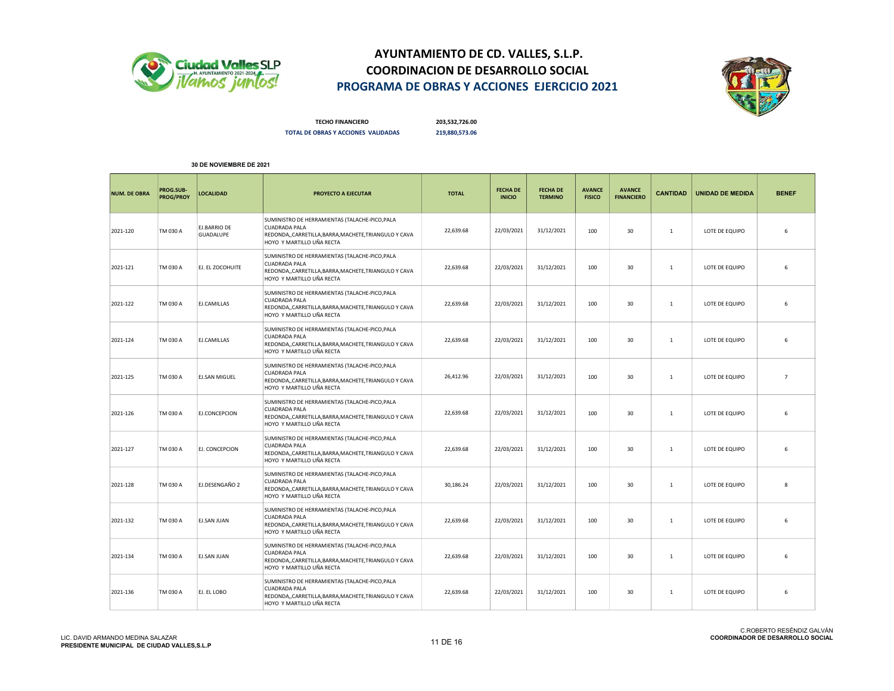



TECHO FINANCIERO 203,532,726.00 TOTAL DE OBRAS Y ACCIONES VALIDADAS 219,880,573.06

| <b>NUM. DE OBRA</b> | PROG.SUB-<br><b>PROG/PROY</b> | <b>LOCALIDAD</b>                        | <b>PROYECTO A EJECUTAR</b>                                                                                                                                | <b>TOTAL</b> | <b>FECHA DE</b><br><b>INICIO</b> | <b>FECHA DE</b><br><b>TERMINO</b> | <b>AVANCE</b><br><b>FISICO</b> | <b>AVANCE</b><br><b>FINANCIERO</b> | <b>CANTIDAD</b> | <b>UNIDAD DE MEDIDA</b> | <b>BENEF</b>   |
|---------------------|-------------------------------|-----------------------------------------|-----------------------------------------------------------------------------------------------------------------------------------------------------------|--------------|----------------------------------|-----------------------------------|--------------------------------|------------------------------------|-----------------|-------------------------|----------------|
| 2021-120            | TM 030 A                      | <b>EJ.BARRIO DE</b><br><b>GUADALUPE</b> | SUMINISTRO DE HERRAMIENTAS (TALACHE-PICO, PALA<br><b>CUADRADA PALA</b><br>REDONDA,,CARRETILLA,BARRA,MACHETE,TRIANGULO Y CAVA<br>HOYO Y MARTILLO UÑA RECTA | 22,639.68    | 22/03/2021                       | 31/12/2021                        | 100                            | 30                                 | $\mathbf{1}$    | LOTE DE EQUIPO          | 6              |
| 2021-121            | TM 030 A                      | EJ. EL ZOCOHUITE                        | SUMINISTRO DE HERRAMIENTAS (TALACHE-PICO, PALA<br><b>CUADRADA PALA</b><br>REDONDA,,CARRETILLA,BARRA,MACHETE,TRIANGULO Y CAVA<br>HOYO Y MARTILLO UÑA RECTA | 22,639.68    | 22/03/2021                       | 31/12/2021                        | 100                            | 30                                 | $\mathbf{1}$    | LOTE DE EQUIPO          | 6              |
| 2021-122            | TM 030 A                      | EJ.CAMILLAS                             | SUMINISTRO DE HERRAMIENTAS (TALACHE-PICO, PALA<br><b>CUADRADA PALA</b><br>REDONDA,,CARRETILLA,BARRA,MACHETE,TRIANGULO Y CAVA<br>HOYO Y MARTILLO UÑA RECTA | 22,639.68    | 22/03/2021                       | 31/12/2021                        | 100                            | 30                                 | 1               | LOTE DE EQUIPO          | 6              |
| 2021-124            | TM 030 A                      | EJ.CAMILLAS                             | SUMINISTRO DE HERRAMIENTAS (TALACHE-PICO, PALA<br><b>CUADRADA PALA</b><br>REDONDA,,CARRETILLA,BARRA,MACHETE,TRIANGULO Y CAVA<br>HOYO Y MARTILLO UÑA RECTA | 22,639.68    | 22/03/2021                       | 31/12/2021                        | 100                            | 30                                 | $\mathbf{1}$    | LOTE DE EQUIPO          | 6              |
| 2021-125            | TM 030 A                      | <b>EJ.SAN MIGUEL</b>                    | SUMINISTRO DE HERRAMIENTAS (TALACHE-PICO, PALA<br><b>CUADRADA PALA</b><br>REDONDA,,CARRETILLA,BARRA,MACHETE,TRIANGULO Y CAVA<br>HOYO Y MARTILLO UÑA RECTA | 26,412.96    | 22/03/2021                       | 31/12/2021                        | 100                            | 30                                 | 1               | LOTE DE EQUIPO          | $\overline{7}$ |
| 2021-126            | TM 030 A                      | EJ.CONCEPCION                           | SUMINISTRO DE HERRAMIENTAS (TALACHE-PICO, PALA<br><b>CUADRADA PALA</b><br>REDONDA,,CARRETILLA,BARRA,MACHETE,TRIANGULO Y CAVA<br>HOYO Y MARTILLO UÑA RECTA | 22,639.68    | 22/03/2021                       | 31/12/2021                        | 100                            | 30                                 | $\mathbf{1}$    | LOTE DE EQUIPO          | 6              |
| 2021-127            | TM 030 A                      | EJ. CONCEPCION                          | SUMINISTRO DE HERRAMIENTAS (TALACHE-PICO, PALA<br><b>CUADRADA PALA</b><br>REDONDA,,CARRETILLA,BARRA,MACHETE,TRIANGULO Y CAVA<br>HOYO Y MARTILLO UÑA RECTA | 22,639.68    | 22/03/2021                       | 31/12/2021                        | 100                            | 30                                 | $\overline{1}$  | LOTE DE EQUIPO          | 6              |
| 2021-128            | TM 030 A                      | EJ.DESENGAÑO 2                          | SUMINISTRO DE HERRAMIENTAS (TALACHE-PICO, PALA<br><b>CUADRADA PALA</b><br>REDONDA,,CARRETILLA,BARRA,MACHETE,TRIANGULO Y CAVA<br>HOYO Y MARTILLO UÑA RECTA | 30,186.24    | 22/03/2021                       | 31/12/2021                        | 100                            | 30                                 | $\mathbf{1}$    | LOTE DE EQUIPO          | 8              |
| 2021-132            | TM 030 A                      | EJ.SAN JUAN                             | SUMINISTRO DE HERRAMIENTAS (TALACHE-PICO, PALA<br><b>CUADRADA PALA</b><br>REDONDA,,CARRETILLA,BARRA,MACHETE,TRIANGULO Y CAVA<br>HOYO Y MARTILLO UÑA RECTA | 22,639.68    | 22/03/2021                       | 31/12/2021                        | 100                            | 30                                 | 1               | LOTE DE EQUIPO          | 6              |
| 2021-134            | TM 030 A                      | <b>EJ.SAN JUAN</b>                      | SUMINISTRO DE HERRAMIENTAS (TALACHE-PICO, PALA<br><b>CUADRADA PALA</b><br>REDONDA,,CARRETILLA,BARRA,MACHETE,TRIANGULO Y CAVA<br>HOYO Y MARTILLO UÑA RECTA | 22,639.68    | 22/03/2021                       | 31/12/2021                        | 100                            | 30                                 | $\mathbf{1}$    | LOTE DE EQUIPO          | 6              |
| 2021-136            | TM 030 A                      | EJ. EL LOBO                             | SUMINISTRO DE HERRAMIENTAS (TALACHE-PICO, PALA<br><b>CUADRADA PALA</b><br>REDONDA,,CARRETILLA,BARRA,MACHETE,TRIANGULO Y CAVA<br>HOYO Y MARTILLO UÑA RECTA | 22.639.68    | 22/03/2021                       | 31/12/2021                        | 100                            | 30                                 | $\overline{1}$  | LOTE DE EQUIPO          | 6              |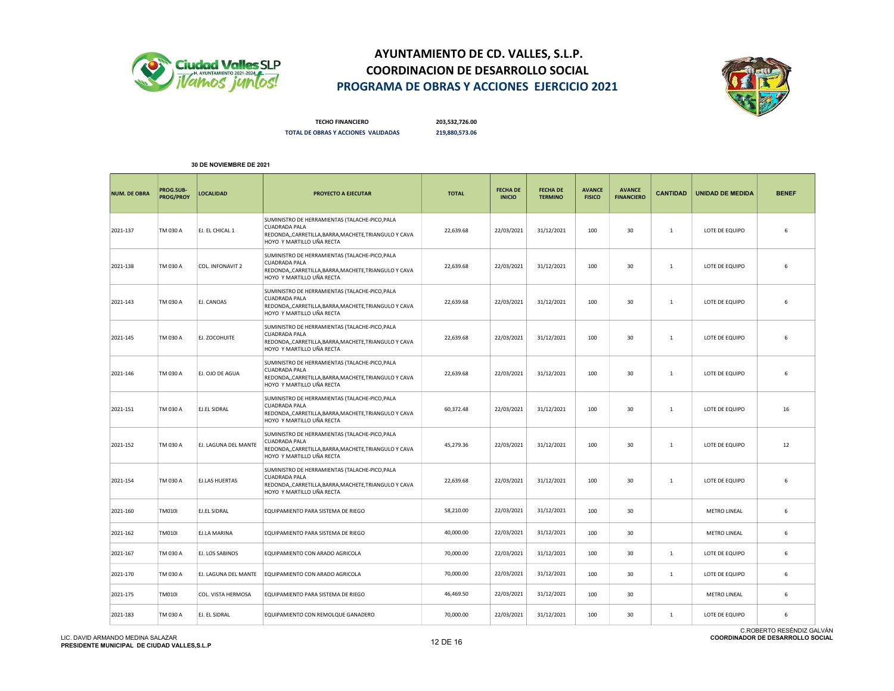



TECHO FINANCIERO 203,532,726.00 TOTAL DE OBRAS Y ACCIONES VALIDADAS 219,880,573.06

| <b>NUM. DE OBRA</b> | PROG.SUB-<br><b>PROG/PROY</b> | <b>LOCALIDAD</b>      | PROYECTO A EJECUTAR                                                                                                                                       | <b>TOTAL</b> | <b>FECHA DE</b><br><b>INICIO</b> | <b>FECHA DE</b><br><b>TERMINO</b> | <b>AVANCE</b><br><b>FISICO</b> | <b>AVANCE</b><br><b>FINANCIERO</b> | <b>CANTIDAD</b> | <b>UNIDAD DE MEDIDA</b> | <b>BENEF</b> |
|---------------------|-------------------------------|-----------------------|-----------------------------------------------------------------------------------------------------------------------------------------------------------|--------------|----------------------------------|-----------------------------------|--------------------------------|------------------------------------|-----------------|-------------------------|--------------|
| 2021-137            | TM 030 A                      | EJ. EL CHICAL 1       | SUMINISTRO DE HERRAMIENTAS (TALACHE-PICO, PALA<br><b>CUADRADA PALA</b><br>REDONDA,,CARRETILLA,BARRA,MACHETE,TRIANGULO Y CAVA<br>HOYO Y MARTILLO UÑA RECTA | 22,639.68    | 22/03/2021                       | 31/12/2021                        | 100                            | 30                                 | 1               | LOTE DE EQUIPO          | 6            |
| 2021-138            | TM 030 A                      | COL. INFONAVIT 2      | SUMINISTRO DE HERRAMIENTAS (TALACHE-PICO, PALA<br><b>CUADRADA PALA</b><br>REDONDA,,CARRETILLA,BARRA,MACHETE,TRIANGULO Y CAVA<br>HOYO Y MARTILLO UÑA RECTA | 22,639.68    | 22/03/2021                       | 31/12/2021                        | 100                            | 30                                 | $\mathbf{1}$    | LOTE DE EQUIPO          | 6            |
| 2021-143            | TM 030 A                      | EJ. CANOAS            | SUMINISTRO DE HERRAMIENTAS (TALACHE-PICO, PALA<br><b>CUADRADA PALA</b><br>REDONDA,,CARRETILLA,BARRA,MACHETE,TRIANGULO Y CAVA<br>HOYO Y MARTILLO UÑA RECTA | 22,639.68    | 22/03/2021                       | 31/12/2021                        | 100                            | 30                                 | 1               | LOTE DE EQUIPO          | 6            |
| 2021-145            | TM 030 A                      | EJ. ZOCOHUITE         | SUMINISTRO DE HERRAMIENTAS (TALACHE-PICO, PALA<br><b>CUADRADA PALA</b><br>REDONDA,,CARRETILLA,BARRA,MACHETE,TRIANGULO Y CAVA<br>HOYO Y MARTILLO UÑA RECTA | 22,639.68    | 22/03/2021                       | 31/12/2021                        | 100                            | 30                                 | 1               | LOTE DE EQUIPO          | 6            |
| 2021-146            | TM 030 A                      | EJ. OJO DE AGUA       | SUMINISTRO DE HERRAMIENTAS (TALACHE-PICO, PALA<br><b>CUADRADA PALA</b><br>REDONDA,,CARRETILLA,BARRA,MACHETE,TRIANGULO Y CAVA<br>HOYO Y MARTILLO UÑA RECTA | 22,639.68    | 22/03/2021                       | 31/12/2021                        | 100                            | 30                                 | 1               | LOTE DE EQUIPO          | 6            |
| 2021-151            | TM 030 A                      | <b>EJ.EL SIDRAL</b>   | SUMINISTRO DE HERRAMIENTAS (TALACHE-PICO, PALA<br><b>CUADRADA PALA</b><br>REDONDA,,CARRETILLA,BARRA,MACHETE,TRIANGULO Y CAVA<br>HOYO Y MARTILLO UÑA RECTA | 60,372.48    | 22/03/2021                       | 31/12/2021                        | 100                            | 30                                 | 1               | LOTE DE EQUIPO          | 16           |
| 2021-152            | TM 030 A                      | EJ. LAGUNA DEL MANTE  | SUMINISTRO DE HERRAMIENTAS (TALACHE-PICO, PALA<br><b>CUADRADA PALA</b><br>REDONDA,,CARRETILLA,BARRA,MACHETE,TRIANGULO Y CAVA<br>HOYO Y MARTILLO UÑA RECTA | 45,279.36    | 22/03/2021                       | 31/12/2021                        | 100                            | 30                                 | 1               | LOTE DE EQUIPO          | 12           |
| 2021-154            | TM 030 A                      | <b>EJ.LAS HUERTAS</b> | SUMINISTRO DE HERRAMIENTAS (TALACHE-PICO, PALA<br><b>CUADRADA PALA</b><br>REDONDA,,CARRETILLA,BARRA,MACHETE,TRIANGULO Y CAVA<br>HOYO Y MARTILLO UÑA RECTA | 22,639.68    | 22/03/2021                       | 31/12/2021                        | 100                            | 30                                 | 1               | LOTE DE EQUIPO          | 6            |
| 2021-160            | <b>TM010I</b>                 | EJ.EL SIDRAL          | EQUIPAMIENTO PARA SISTEMA DE RIEGO                                                                                                                        | 58,210.00    | 22/03/2021                       | 31/12/2021                        | 100                            | 30                                 |                 | METRO LINEAL            | 6            |
| 2021-162            | <b>TM010I</b>                 | EJ.LA MARINA          | EQUIPAMIENTO PARA SISTEMA DE RIEGO                                                                                                                        | 40,000.00    | 22/03/2021                       | 31/12/2021                        | 100                            | 30                                 |                 | <b>METRO LINEAL</b>     | 6            |
| 2021-167            | TM 030 A                      | EJ. LOS SABINOS       | EQUIPAMIENTO CON ARADO AGRICOLA                                                                                                                           | 70,000.00    | 22/03/2021                       | 31/12/2021                        | 100                            | 30                                 | 1               | LOTE DE EQUIPO          | 6            |
| 2021-170            | TM 030 A                      | EJ. LAGUNA DEL MANTE  | EQUIPAMIENTO CON ARADO AGRICOLA                                                                                                                           | 70,000.00    | 22/03/2021                       | 31/12/2021                        | 100                            | 30                                 | 1               | LOTE DE EQUIPO          | 6            |
| 2021-175            | <b>TM010I</b>                 | COL. VISTA HERMOSA    | EQUIPAMIENTO PARA SISTEMA DE RIEGO                                                                                                                        | 46,469.50    | 22/03/2021                       | 31/12/2021                        | 100                            | 30                                 |                 | <b>METRO LINEAL</b>     | 6            |
| 2021-183            | TM 030 A                      | EJ. EL SIDRAL         | EQUIPAMIENTO CON REMOLQUE GANADERO                                                                                                                        | 70,000.00    | 22/03/2021                       | 31/12/2021                        | 100                            | 30                                 | 1               | LOTE DE EQUIPO          | 6            |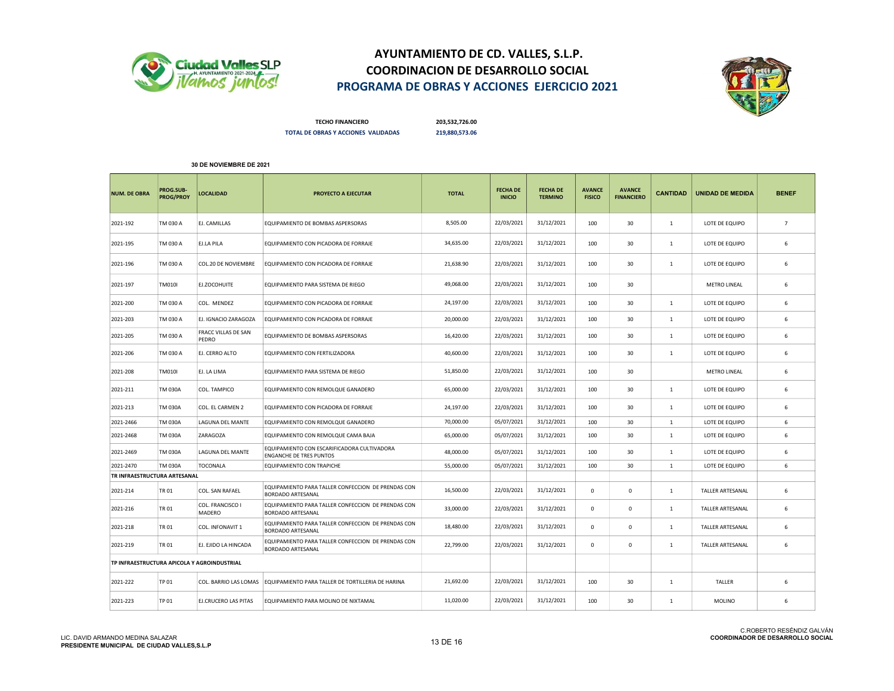



TECHO FINANCIERO 203,532,726.00 TOTAL DE OBRAS Y ACCIONES VALIDADAS 219,880,573.06

| <b>NUM. DE OBRA</b>                         | PROG.SUB-<br>PROG/PROY | LOCALIDAD                           | PROYECTO A EJECUTAR                                                            | <b>TOTAL</b> | <b>FECHA DE</b><br><b>INICIO</b> | <b>FECHA DE</b><br><b>TERMINO</b> | <b>AVANCE</b><br><b>FISICO</b> | <b>AVANCE</b><br><b>FINANCIERO</b> | <b>CANTIDAD</b> | <b>UNIDAD DE MEDIDA</b> | <b>BENEF</b>   |
|---------------------------------------------|------------------------|-------------------------------------|--------------------------------------------------------------------------------|--------------|----------------------------------|-----------------------------------|--------------------------------|------------------------------------|-----------------|-------------------------|----------------|
| 2021-192                                    | TM 030 A               | EJ. CAMILLAS                        | EQUIPAMIENTO DE BOMBAS ASPERSORAS                                              | 8,505.00     | 22/03/2021                       | 31/12/2021                        | 100                            | 30                                 | 1               | LOTE DE EQUIPO          | $\overline{7}$ |
| 2021-195                                    | TM 030 A               | EJ.LA PILA                          | EQUIPAMIENTO CON PICADORA DE FORRAJE                                           | 34,635.00    | 22/03/2021                       | 31/12/2021                        | 100                            | 30                                 | 1               | LOTE DE EQUIPO          | 6              |
| 2021-196                                    | TM 030 A               | COL.20 DE NOVIEMBRE                 | EQUIPAMIENTO CON PICADORA DE FORRAJE                                           | 21,638.90    | 22/03/2021                       | 31/12/2021                        | 100                            | 30                                 | 1               | LOTE DE EQUIPO          | 6              |
| 2021-197                                    | <b>TM010I</b>          | EJ.ZOCOHUITE                        | EQUIPAMIENTO PARA SISTEMA DE RIEGO                                             | 49,068.00    | 22/03/2021                       | 31/12/2021                        | 100                            | 30                                 |                 | <b>METRO LINEAL</b>     | 6              |
| 2021-200                                    | TM 030 A               | COL. MENDEZ                         | EQUIPAMIENTO CON PICADORA DE FORRAJE                                           | 24,197.00    | 22/03/2021                       | 31/12/2021                        | 100                            | 30                                 | $\mathbf{1}$    | LOTE DE EQUIPO          | 6              |
| 2021-203                                    | TM 030 A               | EJ. IGNACIO ZARAGOZA                | EQUIPAMIENTO CON PICADORA DE FORRAJE                                           | 20,000.00    | 22/03/2021                       | 31/12/2021                        | 100                            | 30                                 | $\mathbf{1}$    | LOTE DE EQUIPO          | 6              |
| 2021-205                                    | TM 030 A               | <b>FRACC VILLAS DE SAN</b><br>PEDRO | EQUIPAMIENTO DE BOMBAS ASPERSORAS                                              | 16,420.00    | 22/03/2021                       | 31/12/2021                        | 100                            | 30                                 | 1               | LOTE DE EQUIPO          | 6              |
| 2021-206                                    | TM 030 A               | EJ. CERRO ALTO                      | EQUIPAMIENTO CON FERTILIZADORA                                                 | 40,600.00    | 22/03/2021                       | 31/12/2021                        | 100                            | 30                                 | 1               | LOTE DE EQUIPO          | 6              |
| 2021-208                                    | <b>TM010I</b>          | EJ. LA LIMA                         | EQUIPAMIENTO PARA SISTEMA DE RIEGO                                             | 51,850.00    | 22/03/2021                       | 31/12/2021                        | 100                            | 30                                 |                 | <b>METRO LINEAL</b>     | 6              |
| 2021-211                                    | <b>TM 030A</b>         | COL. TAMPICO                        | EQUIPAMIENTO CON REMOLQUE GANADERO                                             | 65,000.00    | 22/03/2021                       | 31/12/2021                        | 100                            | 30                                 | 1               | LOTE DE EQUIPO          | 6              |
| 2021-213                                    | <b>TM 030A</b>         | COL. EL CARMEN 2                    | EQUIPAMIENTO CON PICADORA DE FORRAJE                                           | 24,197.00    | 22/03/2021                       | 31/12/2021                        | 100                            | 30                                 | 1               | LOTE DE EQUIPO          | 6              |
| 2021-2466                                   | TM 030A                | LAGUNA DEL MANTE                    | EQUIPAMIENTO CON REMOLQUE GANADERO                                             | 70,000.00    | 05/07/2021                       | 31/12/2021                        | 100                            | 30                                 | 1               | LOTE DE EQUIPO          | 6              |
| 2021-2468                                   | <b>TM 030A</b>         | ZARAGOZA                            | EQUIPAMIENTO CON REMOLQUE CAMA BAJA                                            | 65,000.00    | 05/07/2021                       | 31/12/2021                        | 100                            | 30                                 | 1               | LOTE DE EQUIPO          | 6              |
| 2021-2469                                   | TM 030A                | LAGUNA DEL MANTE                    | EQUIPAMIENTO CON ESCARIFICADORA CULTIVADORA<br><b>ENGANCHE DE TRES PUNTOS</b>  | 48,000.00    | 05/07/2021                       | 31/12/2021                        | 100                            | 30                                 | 1               | LOTE DE EQUIPO          | 6              |
| 2021-2470                                   | <b>TM 030A</b>         | <b>TOCONALA</b>                     | EQUIPAMIENTO CON TRAPICHE                                                      | 55,000.00    | 05/07/2021                       | 31/12/2021                        | 100                            | 30                                 | 1               | LOTE DE EQUIPO          | 6              |
| TR INFRAESTRUCTURA ARTESANAL                |                        |                                     |                                                                                |              |                                  |                                   |                                |                                    |                 |                         |                |
| 2021-214                                    | TR 01                  | COL. SAN RAFAEL                     | EQUIPAMIENTO PARA TALLER CONFECCION DE PRENDAS CON<br><b>BORDADO ARTESANAL</b> | 16,500.00    | 22/03/2021                       | 31/12/2021                        | $\mathbf 0$                    | $\mathsf 0$                        | 1               | TALLER ARTESANAL        | 6              |
| 2021-216                                    | TR 01                  | COL. FRANCISCO I<br>MADERO          | EQUIPAMIENTO PARA TALLER CONFECCION DE PRENDAS CON<br><b>BORDADO ARTESANAL</b> | 33,000.00    | 22/03/2021                       | 31/12/2021                        | $\mathbf 0$                    | $\mathbf 0$                        | $\mathbf{1}$    | TALLER ARTESANAL        | 6              |
| 2021-218                                    | TR 01                  | COL. INFONAVIT 1                    | EQUIPAMIENTO PARA TALLER CONFECCION DE PRENDAS CON<br><b>BORDADO ARTESANAL</b> | 18,480.00    | 22/03/2021                       | 31/12/2021                        | 0                              | 0                                  | 1               | TALLER ARTESANAL        | 6              |
| 2021-219                                    | TR 01                  | EJ. EJIDO LA HINCADA                | EQUIPAMIENTO PARA TALLER CONFECCION DE PRENDAS CON<br><b>BORDADO ARTESANAL</b> | 22,799.00    | 22/03/2021                       | 31/12/2021                        | $^{\circ}$                     | $\Omega$                           | -1              | <b>TALLER ARTESANAL</b> | 6              |
| TP INFRAESTRUCTURA APICOLA Y AGROINDUSTRIAL |                        |                                     |                                                                                |              |                                  |                                   |                                |                                    |                 |                         |                |
| 2021-222                                    | TP 01                  | COL. BARRIO LAS LOMAS               | EQUIPAMIENTO PARA TALLER DE TORTILLERIA DE HARINA                              | 21,692.00    | 22/03/2021                       | 31/12/2021                        | 100                            | 30                                 | 1               | TALLER                  | 6              |
| 2021-223                                    | TP 01                  | EJ.CRUCERO LAS PITAS                | EQUIPAMIENTO PARA MOLINO DE NIXTAMAL                                           | 11,020.00    | 22/03/2021                       | 31/12/2021                        | 100                            | 30                                 | 1               | <b>MOLINO</b>           | 6              |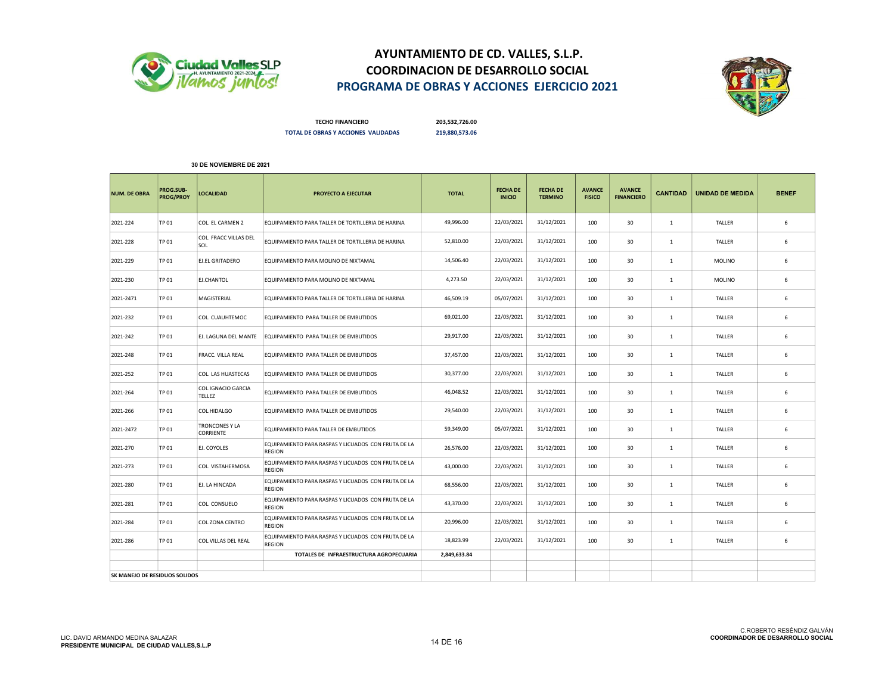



TECHO FINANCIERO 203,532,726.00 TOTAL DE OBRAS Y ACCIONES VALIDADAS 219,880,573.06

| <b>NUM. DE OBRA</b>           | PROG.SUB-<br><b>PROG/PROY</b> | <b>LOCALIDAD</b>                          | PROYECTO A EJECUTAR                                                  | <b>TOTAL</b> | <b>FECHA DE</b><br><b>INICIO</b> | <b>FECHA DE</b><br><b>TERMINO</b> | <b>AVANCE</b><br><b>FISICO</b> | <b>AVANCE</b><br><b>FINANCIERO</b> | <b>CANTIDAD</b> | <b>UNIDAD DE MEDIDA</b> | <b>BENEF</b> |
|-------------------------------|-------------------------------|-------------------------------------------|----------------------------------------------------------------------|--------------|----------------------------------|-----------------------------------|--------------------------------|------------------------------------|-----------------|-------------------------|--------------|
| 2021-224                      | <b>TP 01</b>                  | COL. EL CARMEN 2                          | EQUIPAMIENTO PARA TALLER DE TORTILLERIA DE HARINA                    | 49,996.00    | 22/03/2021                       | 31/12/2021                        | 100                            | 30                                 | 1               | <b>TALLER</b>           | 6            |
| 2021-228                      | <b>TP 01</b>                  | COL. FRACC VILLAS DEL<br>SOL              | EQUIPAMIENTO PARA TALLER DE TORTILLERIA DE HARINA                    | 52,810.00    | 22/03/2021                       | 31/12/2021                        | 100                            | 30                                 | 1               | TALLER                  | 6            |
| 2021-229                      | <b>TP 01</b>                  | <b>EJ.EL GRITADERO</b>                    | EQUIPAMIENTO PARA MOLINO DE NIXTAMAL                                 | 14,506.40    | 22/03/2021                       | 31/12/2021                        | 100                            | 30                                 | $\mathbf{1}$    | <b>MOLINO</b>           | 6            |
| 2021-230                      | TP 01                         | EJ.CHANTOL                                | EQUIPAMIENTO PARA MOLINO DE NIXTAMAL                                 | 4,273.50     | 22/03/2021                       | 31/12/2021                        | 100                            | 30                                 | 1               | <b>MOLINO</b>           | 6            |
| 2021-2471                     | TP 01                         | MAGISTERIAL                               | EQUIPAMIENTO PARA TALLER DE TORTILLERIA DE HARINA                    | 46.509.19    | 05/07/2021                       | 31/12/2021                        | 100                            | 30                                 | $\mathbf{1}$    | TALLER                  | 6            |
| 2021-232                      | TP 01                         | COL. CUAUHTEMOC                           | EQUIPAMIENTO PARA TALLER DE EMBUTIDOS                                | 69,021.00    | 22/03/2021                       | 31/12/2021                        | 100                            | 30                                 | $\mathbf{1}$    | <b>TALLER</b>           | 6            |
| 2021-242                      | <b>TP 01</b>                  | EJ. LAGUNA DEL MANTE                      | EQUIPAMIENTO PARA TALLER DE EMBUTIDOS                                | 29,917.00    | 22/03/2021                       | 31/12/2021                        | 100                            | 30                                 | $\mathbf{1}$    | TALLER                  | 6            |
| 2021-248                      | TP 01                         | <b>FRACC. VILLA REAL</b>                  | EQUIPAMIENTO PARA TALLER DE EMBUTIDOS                                | 37,457.00    | 22/03/2021                       | 31/12/2021                        | 100                            | 30                                 | 1               | TALLER                  | 6            |
| 2021-252                      | <b>TP 01</b>                  | COL. LAS HUASTECAS                        | EQUIPAMIENTO PARA TALLER DE EMBUTIDOS                                | 30,377.00    | 22/03/2021                       | 31/12/2021                        | 100                            | 30                                 | $\mathbf{1}$    | TALLER                  | 6            |
| 2021-264                      | TP 01                         | COL.IGNACIO GARCIA<br><b>TELLEZ</b>       | EQUIPAMIENTO PARA TALLER DE EMBUTIDOS                                | 46,048.52    | 22/03/2021                       | 31/12/2021                        | 100                            | 30                                 | $\mathbf{1}$    | TALLER                  | 6            |
| 2021-266                      | TP 01                         | COL.HIDALGO                               | EQUIPAMIENTO PARA TALLER DE EMBUTIDOS                                | 29,540.00    | 22/03/2021                       | 31/12/2021                        | 100                            | 30                                 | $\mathbf{1}$    | TALLER                  | 6            |
| 2021-2472                     | TP 01                         | <b>TRONCONES Y LA</b><br><b>CORRIENTE</b> | EQUIPAMIENTO PARA TALLER DE EMBUTIDOS                                | 59,349.00    | 05/07/2021                       | 31/12/2021                        | 100                            | 30                                 | $\mathbf{1}$    | TALLER                  | 6            |
| 2021-270                      | TP 01                         | EJ. COYOLES                               | EQUIPAMIENTO PARA RASPAS Y LICUADOS CON FRUTA DE LA<br><b>REGION</b> | 26.576.00    | 22/03/2021                       | 31/12/2021                        | 100                            | 30                                 | $\mathbf{1}$    | <b>TALLER</b>           | 6            |
| 2021-273                      | TP 01                         | COL. VISTAHERMOSA                         | EQUIPAMIENTO PARA RASPAS Y LICUADOS CON FRUTA DE LA<br><b>REGION</b> | 43,000.00    | 22/03/2021                       | 31/12/2021                        | 100                            | 30                                 | 1               | TALLER                  | 6            |
| 2021-280                      | <b>TP 01</b>                  | EJ. LA HINCADA                            | EQUIPAMIENTO PARA RASPAS Y LICUADOS CON FRUTA DE LA<br>REGION        | 68,556.00    | 22/03/2021                       | 31/12/2021                        | 100                            | 30                                 | $\mathbf{1}$    | TALLER                  | 6            |
| 2021-281                      | TP 01                         | COL. CONSUELO                             | EQUIPAMIENTO PARA RASPAS Y LICUADOS CON FRUTA DE LA<br><b>REGION</b> | 43,370.00    | 22/03/2021                       | 31/12/2021                        | 100                            | 30                                 | $\mathbf{1}$    | TALLER                  | 6            |
| 2021-284                      | TP 01                         | COL.ZONA CENTRO                           | EQUIPAMIENTO PARA RASPAS Y LICUADOS CON FRUTA DE LA<br>REGION        | 20,996.00    | 22/03/2021                       | 31/12/2021                        | 100                            | 30                                 | $\mathbf{1}$    | TALLER                  | 6            |
| 2021-286                      | <b>TP 01</b>                  | COL.VILLAS DEL REAL                       | EQUIPAMIENTO PARA RASPAS Y LICUADOS CON FRUTA DE LA<br><b>REGION</b> | 18,823.99    | 22/03/2021                       | 31/12/2021                        | 100                            | 30                                 | 1               | <b>TALLER</b>           | 6            |
|                               |                               |                                           | TOTALES DE INFRAESTRUCTURA AGROPECUARIA                              | 2,849,633.84 |                                  |                                   |                                |                                    |                 |                         |              |
|                               |                               |                                           |                                                                      |              |                                  |                                   |                                |                                    |                 |                         |              |
| SK MANEJO DE RESIDUOS SOLIDOS |                               |                                           |                                                                      |              |                                  |                                   |                                |                                    |                 |                         |              |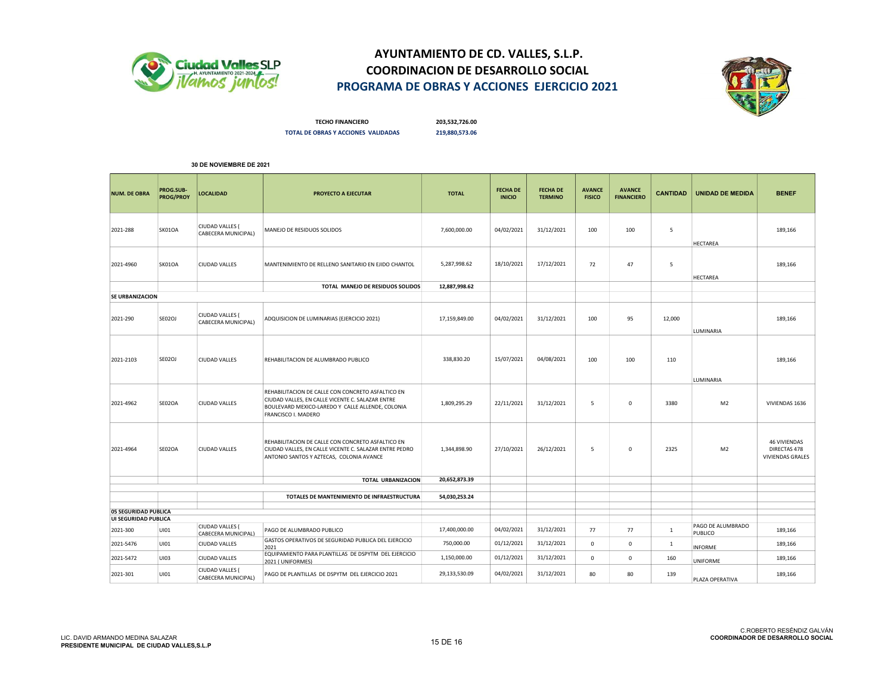



TECHO FINANCIERO 203,532,726.00 TOTAL DE OBRAS Y ACCIONES VALIDADAS 219,880,573.06

| <b>NUM. DE OBRA</b>                          | PROG.SUB-<br><b>PROG/PROY</b> | <b>LOCALIDAD</b>                       | PROYECTO A EJECUTAR                                                                                                                                                              | <b>TOTAL</b>  | <b>FECHA DE</b><br><b>INICIO</b> | <b>FECHA DE</b><br><b>TERMINO</b> | <b>AVANCE</b><br><b>FISICO</b> | <b>AVANCE</b><br><b>FINANCIERO</b> | <b>CANTIDAD</b> | <b>UNIDAD DE MEDIDA</b>      | <b>BENEF</b>                                            |
|----------------------------------------------|-------------------------------|----------------------------------------|----------------------------------------------------------------------------------------------------------------------------------------------------------------------------------|---------------|----------------------------------|-----------------------------------|--------------------------------|------------------------------------|-----------------|------------------------------|---------------------------------------------------------|
| 2021-288                                     | SK01OA                        | CIUDAD VALLES (<br>CABECERA MUNICIPAL) | MANEJO DE RESIDUOS SOLIDOS                                                                                                                                                       | 7,600,000.00  | 04/02/2021                       | 31/12/2021                        | 100                            | 100                                | 5               | <b>HECTAREA</b>              | 189,166                                                 |
| 2021-4960                                    | SK01OA                        | <b>CIUDAD VALLES</b>                   | MANTENIMIENTO DE RELLENO SANITARIO EN EJIDO CHANTOL                                                                                                                              | 5,287,998.62  | 18/10/2021                       | 17/12/2021                        | 72                             | 47                                 | 5               | HECTAREA                     | 189,166                                                 |
|                                              |                               |                                        | TOTAL MANEJO DE RESIDUOS SOLIDOS                                                                                                                                                 | 12,887,998.62 |                                  |                                   |                                |                                    |                 |                              |                                                         |
| <b>SE URBANIZACION</b>                       |                               |                                        |                                                                                                                                                                                  |               |                                  |                                   |                                |                                    |                 |                              |                                                         |
| 2021-290                                     | SE02OJ                        | CIUDAD VALLES (<br>CABECERA MUNICIPAL) | ADQUISICION DE LUMINARIAS (EJERCICIO 2021)                                                                                                                                       | 17,159,849.00 | 04/02/2021                       | 31/12/2021                        | 100                            | 95                                 | 12,000          | LUMINARIA                    | 189,166                                                 |
| 2021-2103                                    | SE02OJ                        | <b>CIUDAD VALLES</b>                   | REHABILITACION DE ALUMBRADO PUBLICO                                                                                                                                              | 338,830.20    | 15/07/2021                       | 04/08/2021                        | 100                            | 100                                | 110             | LUMINARIA                    | 189,166                                                 |
| 2021-4962                                    | SE02OA                        | <b>CIUDAD VALLES</b>                   | REHABILITACION DE CALLE CON CONCRETO ASFALTICO EN<br>CIUDAD VALLES, EN CALLE VICENTE C. SALAZAR ENTRE<br>BOULEVARD MEXICO-LAREDO Y CALLE ALLENDE, COLONIA<br>FRANCISCO I. MADERO | 1,809,295.29  | 22/11/2021                       | 31/12/2021                        | 5                              | $\mathbf 0$                        | 3380            | M <sub>2</sub>               | VIVIENDAS 1636                                          |
| 2021-4964                                    | SE02OA                        | <b>CIUDAD VALLES</b>                   | REHABILITACION DE CALLE CON CONCRETO ASFALTICO EN<br>CIUDAD VALLES, EN CALLE VICENTE C. SALAZAR ENTRE PEDRO<br>ANTONIO SANTOS Y AZTECAS, COLONIA AVANCE                          | 1,344,898.90  | 27/10/2021                       | 26/12/2021                        | 5                              | 0                                  | 2325            | M <sub>2</sub>               | <b>46 VIVIENDAS</b><br>DIRECTAS 478<br>VIVIENDAS GRALES |
|                                              |                               |                                        | TOTAL URBANIZACION                                                                                                                                                               | 20,652,873.39 |                                  |                                   |                                |                                    |                 |                              |                                                         |
|                                              |                               |                                        | TOTALES DE MANTENIMIENTO DE INFRAESTRUCTURA                                                                                                                                      | 54,030,253.24 |                                  |                                   |                                |                                    |                 |                              |                                                         |
|                                              |                               |                                        |                                                                                                                                                                                  |               |                                  |                                   |                                |                                    |                 |                              |                                                         |
| 05 SEGURIDAD PUBLICA<br>UI SEGURIDAD PUBLICA |                               |                                        |                                                                                                                                                                                  |               |                                  |                                   |                                |                                    |                 |                              |                                                         |
| 2021-300                                     | UI01                          | CIUDAD VALLES (<br>CABECERA MUNICIPAL) | PAGO DE ALUMBRADO PUBLICO                                                                                                                                                        | 17,400,000.00 | 04/02/2021                       | 31/12/2021                        | 77                             | 77                                 | 1               | PAGO DE ALUMBRADO<br>PUBLICO | 189,166                                                 |
| 2021-5476                                    | UI01                          | <b>CIUDAD VALLES</b>                   | GASTOS OPERATIVOS DE SEGURIDAD PUBLICA DEL EJERCICIO<br>2021                                                                                                                     | 750,000.00    | 01/12/2021                       | 31/12/2021                        | 0                              | 0                                  | $\mathbf{1}$    | <b>INFORME</b>               | 189,166                                                 |
| 2021-5472                                    | UI03                          | <b>CIUDAD VALLES</b>                   | EQUIPAMIENTO PARA PLANTILLAS DE DSPYTM DEL EJERCICIO<br>2021 (UNIFORMES)                                                                                                         | 1,150,000.00  | 01/12/2021                       | 31/12/2021                        | 0                              | 0                                  | 160             | UNIFORME                     | 189,166                                                 |
| 2021-301                                     | UI01                          | CIUDAD VALLES (<br>CABECERA MUNICIPAL) | PAGO DE PLANTILLAS DE DSPYTM DEL EJERCICIO 2021                                                                                                                                  | 29,133,530.09 | 04/02/2021                       | 31/12/2021                        | 80                             | 80                                 | 139             | PLAZA OPERATIVA              | 189,166                                                 |